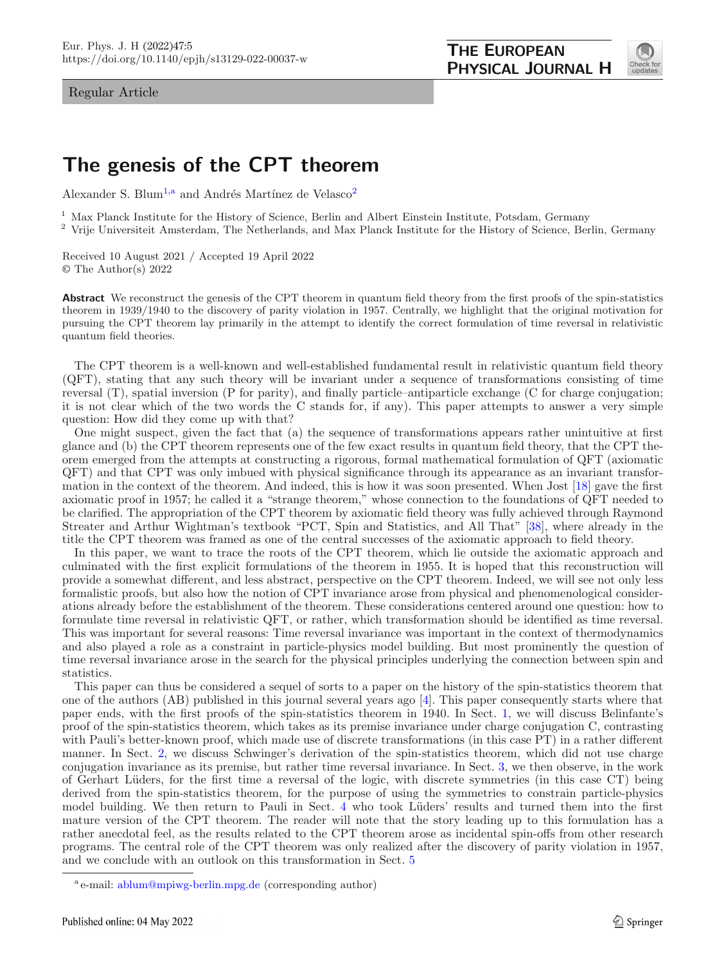Regular Article

<span id="page-0-0"></span>

# **The genesis of the CPT theorem**

Alexander S. Blum<sup>[1,](#page-0-0)a</sup> and Andrés Martínez de Velasco<sup>[2](#page-0-0)</sup>

<sup>1</sup> Max Planck Institute for the History of Science, Berlin and Albert Einstein Institute, Potsdam, Germany

<sup>2</sup> Vrije Universiteit Amsterdam, The Netherlands, and Max Planck Institute for the History of Science, Berlin, Germany

Received 10 August 2021 / Accepted 19 April 2022 © The Author(s) 2022

**Abstract** We reconstruct the genesis of the CPT theorem in quantum field theory from the first proofs of the spin-statistics theorem in 1939/1940 to the discovery of parity violation in 1957. Centrally, we highlight that the original motivation for pursuing the CPT theorem lay primarily in the attempt to identify the correct formulation of time reversal in relativistic quantum field theories.

The CPT theorem is a well-known and well-established fundamental result in relativistic quantum field theory (QFT), stating that any such theory will be invariant under a sequence of transformations consisting of time reversal (T), spatial inversion (P for parity), and finally particle–antiparticle exchange (C for charge conjugation; it is not clear which of the two words the C stands for, if any). This paper attempts to answer a very simple question: How did they come up with that?

One might suspect, given the fact that (a) the sequence of transformations appears rather unintuitive at first glance and (b) the CPT theorem represents one of the few exact results in quantum field theory, that the CPT theorem emerged from the attempts at constructing a rigorous, formal mathematical formulation of QFT (axiomatic QFT) and that CPT was only imbued with physical significance through its appearance as an invariant transformation in the context of the theorem. And indeed, this is how it was soon presented. When Jost [\[18](#page-14-0)] gave the first axiomatic proof in 1957; he called it a "strange theorem," whose connection to the foundations of QFT needed to be clarified. The appropriation of the CPT theorem by axiomatic field theory was fully achieved through Raymond Streater and Arthur Wightman's textbook "PCT, Spin and Statistics, and All That" [\[38](#page-15-0)], where already in the title the CPT theorem was framed as one of the central successes of the axiomatic approach to field theory.

In this paper, we want to trace the roots of the CPT theorem, which lie outside the axiomatic approach and culminated with the first explicit formulations of the theorem in 1955. It is hoped that this reconstruction will provide a somewhat different, and less abstract, perspective on the CPT theorem. Indeed, we will see not only less formalistic proofs, but also how the notion of CPT invariance arose from physical and phenomenological considerations already before the establishment of the theorem. These considerations centered around one question: how to formulate time reversal in relativistic QFT, or rather, which transformation should be identified as time reversal. This was important for several reasons: Time reversal invariance was important in the context of thermodynamics and also played a role as a constraint in particle-physics model building. But most prominently the question of time reversal invariance arose in the search for the physical principles underlying the connection between spin and statistics.

This paper can thus be considered a sequel of sorts to a paper on the history of the spin-statistics theorem that one of the authors (AB) published in this journal several years ago [\[4\]](#page-14-1). This paper consequently starts where that paper ends, with the first proofs of the spin-statistics theorem in 1940. In Sect. [1,](#page-1-0) we will discuss Belinfante's proof of the spin-statistics theorem, which takes as its premise invariance under charge conjugation C, contrasting with Pauli's better-known proof, which made use of discrete transformations (in this case PT) in a rather different manner. In Sect. [2,](#page-3-0) we discuss Schwinger's derivation of the spin-statistics theorem, which did not use charge conjugation invariance as its premise, but rather time reversal invariance. In Sect. [3,](#page-6-0) we then observe, in the work of Gerhart L¨uders, for the first time a reversal of the logic, with discrete symmetries (in this case CT) being derived from the spin-statistics theorem, for the purpose of using the symmetries to constrain particle-physics model building. We then return to Pauli in Sect. [4](#page-9-0) who took Lüders' results and turned them into the first mature version of the CPT theorem. The reader will note that the story leading up to this formulation has a rather anecdotal feel, as the results related to the CPT theorem arose as incidental spin-offs from other research programs. The central role of the CPT theorem was only realized after the discovery of parity violation in 1957, and we conclude with an outlook on this transformation in Sect. [5](#page-12-0)

<sup>&</sup>lt;sup>a</sup> e-mail: [ablum@mpiwg-berlin.mpg.de](mailto:ablum@mpiwg-berlin.mpg.de) (corresponding author)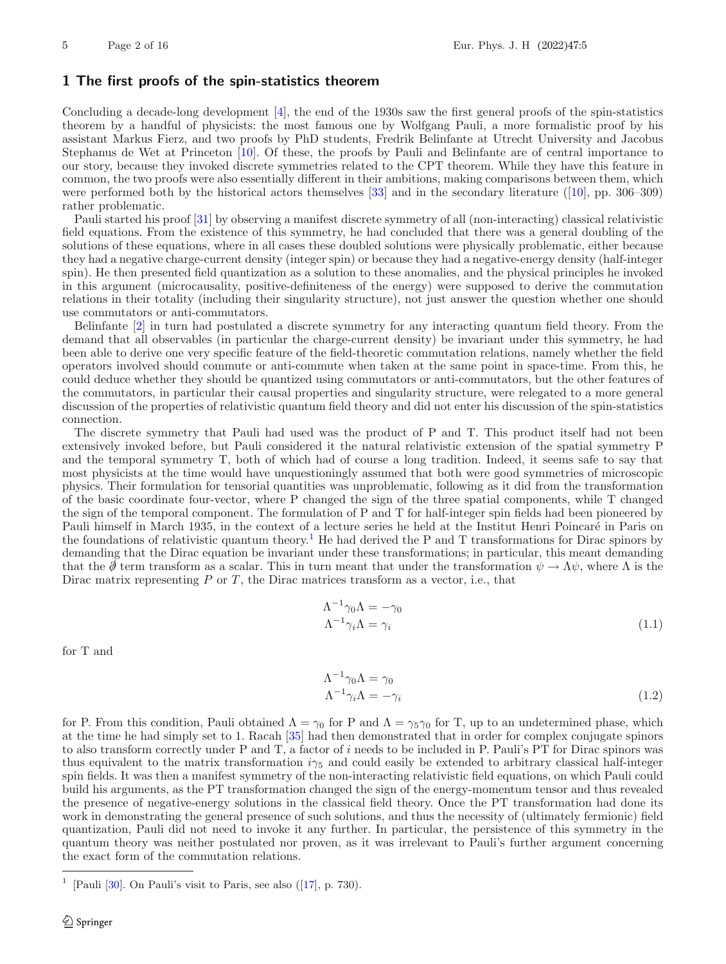## <span id="page-1-0"></span>**1 The first proofs of the spin-statistics theorem**

Concluding a decade-long development [\[4](#page-14-1)], the end of the 1930s saw the first general proofs of the spin-statistics theorem by a handful of physicists: the most famous one by Wolfgang Pauli, a more formalistic proof by his assistant Markus Fierz, and two proofs by PhD students, Fredrik Belinfante at Utrecht University and Jacobus Stephanus de Wet at Princeton [\[10](#page-14-2)]. Of these, the proofs by Pauli and Belinfante are of central importance to our story, because they invoked discrete symmetries related to the CPT theorem. While they have this feature in common, the two proofs were also essentially different in their ambitions, making comparisons between them, which were performed both by the historical actors themselves  $[33]$  $[33]$  and in the secondary literature  $([10]$  $([10]$ , pp. 306–309) rather problematic.

Pauli started his proof [\[31](#page-15-2)] by observing a manifest discrete symmetry of all (non-interacting) classical relativistic field equations. From the existence of this symmetry, he had concluded that there was a general doubling of the solutions of these equations, where in all cases these doubled solutions were physically problematic, either because they had a negative charge-current density (integer spin) or because they had a negative-energy density (half-integer spin). He then presented field quantization as a solution to these anomalies, and the physical principles he invoked in this argument (microcausality, positive-definiteness of the energy) were supposed to derive the commutation relations in their totality (including their singularity structure), not just answer the question whether one should use commutators or anti-commutators.

Belinfante [\[2\]](#page-14-3) in turn had postulated a discrete symmetry for any interacting quantum field theory. From the demand that all observables (in particular the charge-current density) be invariant under this symmetry, he had been able to derive one very specific feature of the field-theoretic commutation relations, namely whether the field operators involved should commute or anti-commute when taken at the same point in space-time. From this, he could deduce whether they should be quantized using commutators or anti-commutators, but the other features of the commutators, in particular their causal properties and singularity structure, were relegated to a more general discussion of the properties of relativistic quantum field theory and did not enter his discussion of the spin-statistics connection.

The discrete symmetry that Pauli had used was the product of P and T. This product itself had not been extensively invoked before, but Pauli considered it the natural relativistic extension of the spatial symmetry P and the temporal symmetry T, both of which had of course a long tradition. Indeed, it seems safe to say that most physicists at the time would have unquestioningly assumed that both were good symmetries of microscopic physics. Their formulation for tensorial quantities was unproblematic, following as it did from the transformation of the basic coordinate four-vector, where P changed the sign of the three spatial components, while T changed the sign of the temporal component. The formulation of P and T for half-integer spin fields had been pioneered by Pauli himself in March 1935, in the context of a lecture series he held at the Institut Henri Poincaré in Paris on the foundations of relativistic quantum theory.<sup>[1](#page-1-1)</sup> He had derived the P and T transformations for Dirac spinors by demanding that the Dirac equation be invariant under these transformations; in particular, this meant demanding that the  $\emptyset$  term transform as a scalar. This in turn meant that under the transformation  $\psi \to \Lambda \psi$ , where  $\Lambda$  is the Dirac matrix representing  $P$  or  $T$ , the Dirac matrices transform as a vector, i.e., that

$$
\Lambda^{-1}\gamma_0\Lambda = -\gamma_0
$$
  
\n
$$
\Lambda^{-1}\gamma_i\Lambda = \gamma_i
$$
\n(1.1)

for T and

$$
\Lambda^{-1}\gamma_0\Lambda = \gamma_0
$$
  
\n
$$
\Lambda^{-1}\gamma_i\Lambda = -\gamma_i
$$
\n(1.2)

for P. From this condition, Pauli obtained  $\Lambda = \gamma_0$  for P and  $\Lambda = \gamma_5 \gamma_0$  for T, up to an undetermined phase, which at the time he had simply set to 1. Racah [\[35\]](#page-15-3) had then demonstrated that in order for complex conjugate spinors to also transform correctly under P and T, a factor of i needs to be included in P. Pauli's PT for Dirac spinors was thus equivalent to the matrix transformation  $i\gamma_5$  and could easily be extended to arbitrary classical half-integer spin fields. It was then a manifest symmetry of the non-interacting relativistic field equations, on which Pauli could build his arguments, as the PT transformation changed the sign of the energy-momentum tensor and thus revealed the presence of negative-energy solutions in the classical field theory. Once the PT transformation had done its work in demonstrating the general presence of such solutions, and thus the necessity of (ultimately fermionic) field quantization, Pauli did not need to invoke it any further. In particular, the persistence of this symmetry in the quantum theory was neither postulated nor proven, as it was irrelevant to Pauli's further argument concerning the exact form of the commutation relations.

<span id="page-1-1"></span><sup>[</sup>Pauli  $[30]$  $[30]$ . On Pauli's visit to Paris, see also  $([17], p. 730)$  $([17], p. 730)$  $([17], p. 730)$ .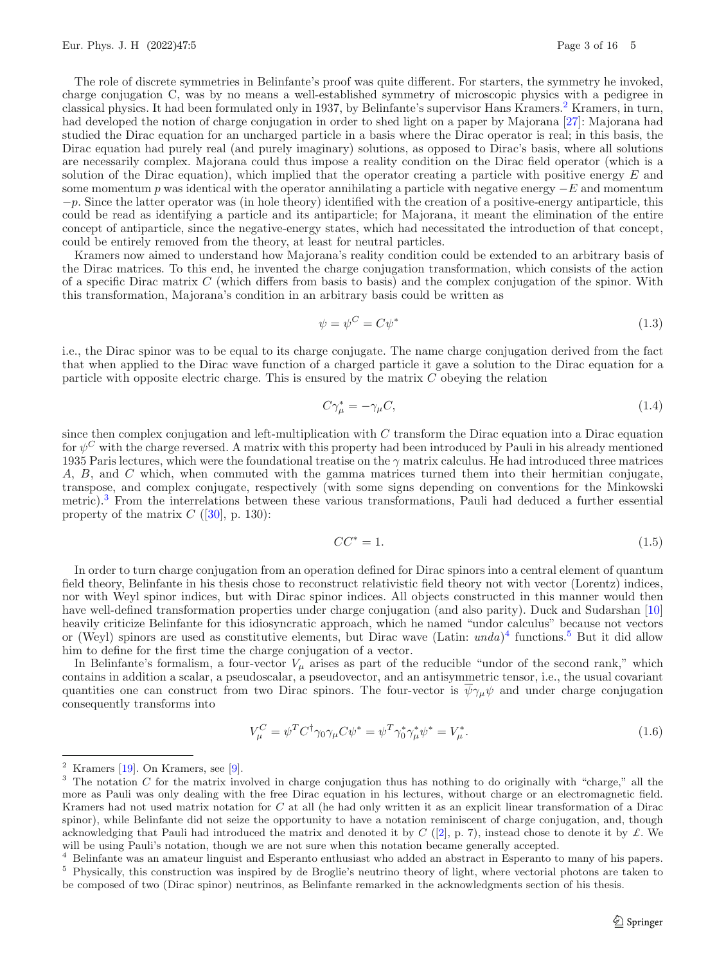The role of discrete symmetries in Belinfante's proof was quite different. For starters, the symmetry he invoked, charge conjugation C, was by no means a well-established symmetry of microscopic physics with a pedigree in classical physics. It had been formulated only in 1937, by Belinfante's supervisor Hans Kramers.<sup>[2](#page-2-0)</sup> Kramers, in turn, had developed the notion of charge conjugation in order to shed light on a paper by Majorana [\[27](#page-15-5)]: Majorana had studied the Dirac equation for an uncharged particle in a basis where the Dirac operator is real; in this basis, the Dirac equation had purely real (and purely imaginary) solutions, as opposed to Dirac's basis, where all solutions are necessarily complex. Majorana could thus impose a reality condition on the Dirac field operator (which is a solution of the Dirac equation), which implied that the operator creating a particle with positive energy  $E$  and some momentum p was identical with the operator annihilating a particle with negative energy  $-E$  and momentum  $-p$ . Since the latter operator was (in hole theory) identified with the creation of a positive-energy antiparticle, this could be read as identifying a particle and its antiparticle; for Majorana, it meant the elimination of the entire concept of antiparticle, since the negative-energy states, which had necessitated the introduction of that concept, could be entirely removed from the theory, at least for neutral particles.

Kramers now aimed to understand how Majorana's reality condition could be extended to an arbitrary basis of the Dirac matrices. To this end, he invented the charge conjugation transformation, which consists of the action of a specific Dirac matrix C (which differs from basis to basis) and the complex conjugation of the spinor. With this transformation, Majorana's condition in an arbitrary basis could be written as

$$
\psi = \psi^C = C\psi^* \tag{1.3}
$$

i.e., the Dirac spinor was to be equal to its charge conjugate. The name charge conjugation derived from the fact that when applied to the Dirac wave function of a charged particle it gave a solution to the Dirac equation for a particle with opposite electric charge. This is ensured by the matrix  $C$  obeying the relation

<span id="page-2-4"></span>
$$
C\gamma_{\mu}^{*} = -\gamma_{\mu}C,\tag{1.4}
$$

since then complex conjugation and left-multiplication with  $C$  transform the Dirac equation into a Dirac equation for  $\psi^C$  with the charge reversed. A matrix with this property had been introduced by Pauli in his already mentioned 1935 Paris lectures, which were the foundational treatise on the  $\gamma$  matrix calculus. He had introduced three matrices A, B, and C which, when commuted with the gamma matrices turned them into their hermitian conjugate, transpose, and complex conjugate, respectively (with some signs depending on conventions for the Minkowski metric).[3](#page-2-1) From the interrelations between these various transformations, Pauli had deduced a further essential property of the matrix  $C$  ([\[30](#page-15-4)], p. 130):

<span id="page-2-5"></span>
$$
CC^* = 1.\tag{1.5}
$$

In order to turn charge conjugation from an operation defined for Dirac spinors into a central element of quantum field theory, Belinfante in his thesis chose to reconstruct relativistic field theory not with vector (Lorentz) indices, nor with Weyl spinor indices, but with Dirac spinor indices. All objects constructed in this manner would then have well-defined transformation properties under charge conjugation (and also parity). Duck and Sudarshan [\[10](#page-14-2)] heavily criticize Belinfante for this idiosyncratic approach, which he named "undor calculus" because not vectors or (Weyl) spinors are used as constitutive elements, but Dirac wave (Latin: *unda*)[4](#page-2-2) functions.[5](#page-2-3) But it did allow him to define for the first time the charge conjugation of a vector.

In Belinfante's formalism, a four-vector  $V_\mu$  arises as part of the reducible "undor of the second rank," which contains in addition a scalar, a pseudoscalar, a pseudovector, and an antisymmetric tensor, i.e., the usual covariant quantities one can construct from two Dirac spinors. The four-vector is  $\overline{\psi}\gamma_\mu\psi$  and under charge conjugation consequently transforms into

$$
V_{\mu}^{C} = \psi^{T} C^{\dagger} \gamma_{0} \gamma_{\mu} C \psi^{*} = \psi^{T} \gamma_{0}^{*} \gamma_{\mu}^{*} \psi^{*} = V_{\mu}^{*}.
$$
\n
$$
(1.6)
$$

<span id="page-2-0"></span> $2$  Kramers [\[19](#page-14-5)]. On Kramers, see [\[9\]](#page-14-6).

<span id="page-2-1"></span> $3$  The notation C for the matrix involved in charge conjugation thus has nothing to do originally with "charge," all the more as Pauli was only dealing with the free Dirac equation in his lectures, without charge or an electromagnetic field. Kramers had not used matrix notation for  $C$  at all (he had only written it as an explicit linear transformation of a Dirac spinor), while Belinfante did not seize the opportunity to have a notation reminiscent of charge conjugation, and, though acknowledging that Pauli had introduced the matrix and denoted it by  $C$  ([\[2\]](#page-14-3), p. 7), instead chose to denote it by  $\mathcal{L}$ . We will be using Pauli's notation, though we are not sure when this notation became generally accepted.

<span id="page-2-3"></span><span id="page-2-2"></span><sup>4</sup> Belinfante was an amateur linguist and Esperanto enthusiast who added an abstract in Esperanto to many of his papers. <sup>5</sup> Physically, this construction was inspired by de Broglie's neutrino theory of light, where vectorial photons are taken to be composed of two (Dirac spinor) neutrinos, as Belinfante remarked in the acknowledgments section of his thesis.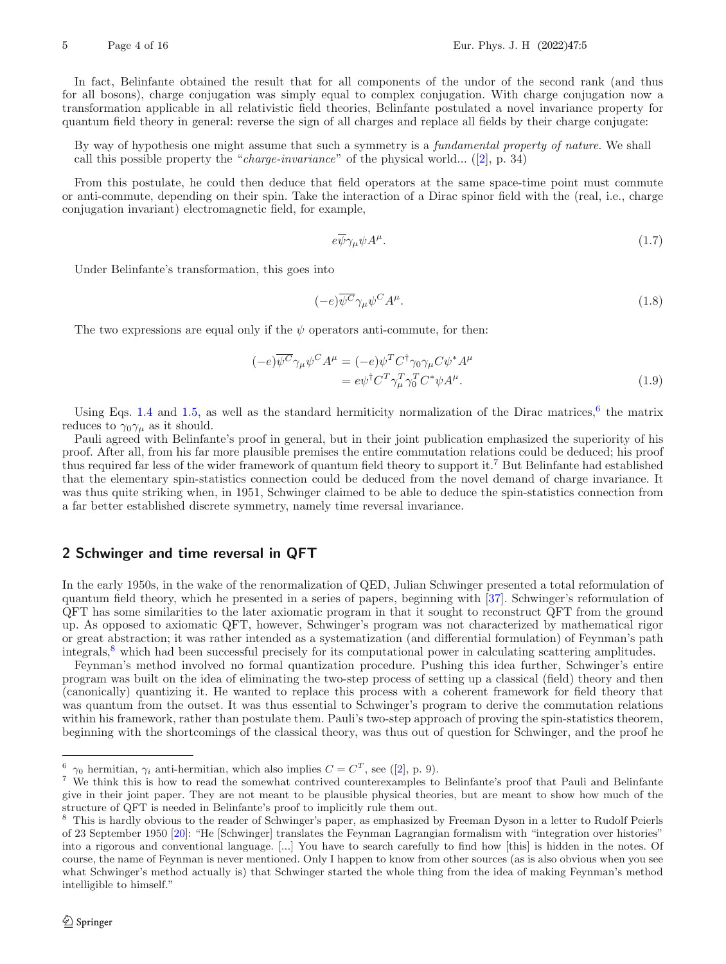In fact, Belinfante obtained the result that for all components of the undor of the second rank (and thus for all bosons), charge conjugation was simply equal to complex conjugation. With charge conjugation now a transformation applicable in all relativistic field theories, Belinfante postulated a novel invariance property for quantum field theory in general: reverse the sign of all charges and replace all fields by their charge conjugate:

By way of hypothesis one might assume that such a symmetry is a *fundamental property of nature*. We shall call this possible property the "*charge-invariance*" of the physical world... ([\[2](#page-14-3)], p. 34)

From this postulate, he could then deduce that field operators at the same space-time point must commute or anti-commute, depending on their spin. Take the interaction of a Dirac spinor field with the (real, i.e., charge conjugation invariant) electromagnetic field, for example,

<span id="page-3-4"></span>
$$
e\overline{\psi}\gamma_{\mu}\psi A^{\mu}.
$$
 (1.7)

Under Belinfante's transformation, this goes into

$$
(-e)\overline{\psi^{C}}\gamma_{\mu}\psi^{C}A^{\mu}.
$$
\n(1.8)

The two expressions are equal only if the  $\psi$  operators anti-commute, for then:

$$
(-e)\overline{\psi^{C}}\gamma_{\mu}\psi^{C}A^{\mu} = (-e)\psi^{T}C^{\dagger}\gamma_{0}\gamma_{\mu}C\psi^{*}A^{\mu}
$$

$$
= e\psi^{\dagger}C^{T}\gamma_{\mu}^{T}\gamma_{0}^{T}C^{*}\psi A^{\mu}.
$$
(1.9)

Using Eqs. [1.4](#page-2-4) and [1.5,](#page-2-5) as well as the standard hermiticity normalization of the Dirac matrices, $6$  the matrix reduces to  $\gamma_0 \gamma_\mu$  as it should.

Pauli agreed with Belinfante's proof in general, but in their joint publication emphasized the superiority of his proof. After all, from his far more plausible premises the entire commutation relations could be deduced; his proof thus required far less of the wider framework of quantum field theory to support it.[7](#page-3-2) But Belinfante had established that the elementary spin-statistics connection could be deduced from the novel demand of charge invariance. It was thus quite striking when, in 1951, Schwinger claimed to be able to deduce the spin-statistics connection from a far better established discrete symmetry, namely time reversal invariance.

# <span id="page-3-0"></span>**2 Schwinger and time reversal in QFT**

In the early 1950s, in the wake of the renormalization of QED, Julian Schwinger presented a total reformulation of quantum field theory, which he presented in a series of papers, beginning with [\[37\]](#page-15-6). Schwinger's reformulation of QFT has some similarities to the later axiomatic program in that it sought to reconstruct QFT from the ground up. As opposed to axiomatic QFT, however, Schwinger's program was not characterized by mathematical rigor or great abstraction; it was rather intended as a systematization (and differential formulation) of Feynman's path integrals,[8](#page-3-3) which had been successful precisely for its computational power in calculating scattering amplitudes.

Feynman's method involved no formal quantization procedure. Pushing this idea further, Schwinger's entire program was built on the idea of eliminating the two-step process of setting up a classical (field) theory and then (canonically) quantizing it. He wanted to replace this process with a coherent framework for field theory that was quantum from the outset. It was thus essential to Schwinger's program to derive the commutation relations within his framework, rather than postulate them. Pauli's two-step approach of proving the spin-statistics theorem, beginning with the shortcomings of the classical theory, was thus out of question for Schwinger, and the proof he

<span id="page-3-1"></span><sup>&</sup>lt;sup>6</sup>  $\gamma_0$  hermitian,  $\gamma_i$  anti-hermitian, which also implies  $C = C^T$ , see ([\[2\]](#page-14-3), p. 9).

<span id="page-3-2"></span><sup>7</sup> We think this is how to read the somewhat contrived counterexamples to Belinfante's proof that Pauli and Belinfante give in their joint paper. They are not meant to be plausible physical theories, but are meant to show how much of the structure of QFT is needed in Belinfante's proof to implicitly rule them out.

<span id="page-3-3"></span><sup>&</sup>lt;sup>8</sup> This is hardly obvious to the reader of Schwinger's paper, as emphasized by Freeman Dyson in a letter to Rudolf Peierls of 23 September 1950 [\[20\]](#page-14-7): "He [Schwinger] translates the Feynman Lagrangian formalism with "integration over histories" into a rigorous and conventional language. [...] You have to search carefully to find how [this] is hidden in the notes. Of course, the name of Feynman is never mentioned. Only I happen to know from other sources (as is also obvious when you see what Schwinger's method actually is) that Schwinger started the whole thing from the idea of making Feynman's method intelligible to himself."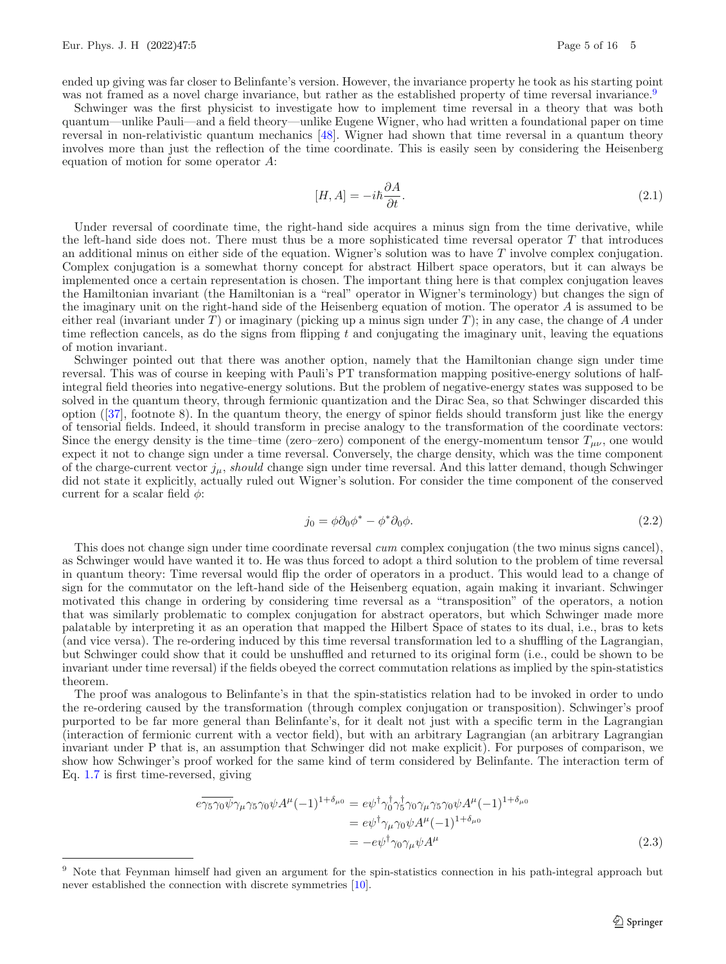ended up giving was far closer to Belinfante's version. However, the invariance property he took as his starting point was not framed as a novel charge invariance, but rather as the established property of time reversal invariance.<sup>[9](#page-4-0)</sup>

Schwinger was the first physicist to investigate how to implement time reversal in a theory that was both quantum—unlike Pauli—and a field theory—unlike Eugene Wigner, who had written a foundational paper on time reversal in non-relativistic quantum mechanics [\[48](#page-15-7)]. Wigner had shown that time reversal in a quantum theory involves more than just the reflection of the time coordinate. This is easily seen by considering the Heisenberg equation of motion for some operator A:

$$
[H, A] = -i\hbar \frac{\partial A}{\partial t}.
$$
\n(2.1)

Under reversal of coordinate time, the right-hand side acquires a minus sign from the time derivative, while the left-hand side does not. There must thus be a more sophisticated time reversal operator  $T$  that introduces an additional minus on either side of the equation. Wigner's solution was to have  $T$  involve complex conjugation. Complex conjugation is a somewhat thorny concept for abstract Hilbert space operators, but it can always be implemented once a certain representation is chosen. The important thing here is that complex conjugation leaves the Hamiltonian invariant (the Hamiltonian is a "real" operator in Wigner's terminology) but changes the sign of the imaginary unit on the right-hand side of the Heisenberg equation of motion. The operator A is assumed to be either real (invariant under T) or imaginary (picking up a minus sign under T); in any case, the change of A under time reflection cancels, as do the signs from flipping t and conjugating the imaginary unit, leaving the equations of motion invariant.

Schwinger pointed out that there was another option, namely that the Hamiltonian change sign under time reversal. This was of course in keeping with Pauli's PT transformation mapping positive-energy solutions of halfintegral field theories into negative-energy solutions. But the problem of negative-energy states was supposed to be solved in the quantum theory, through fermionic quantization and the Dirac Sea, so that Schwinger discarded this option ([\[37\]](#page-15-6), footnote 8). In the quantum theory, the energy of spinor fields should transform just like the energy of tensorial fields. Indeed, it should transform in precise analogy to the transformation of the coordinate vectors: Since the energy density is the time–time (zero–zero) component of the energy-momentum tensor  $T_{\mu\nu}$ , one would expect it not to change sign under a time reversal. Conversely, the charge density, which was the time component of the charge-current vector  $j_{\mu}$ , *should* change sign under time reversal. And this latter demand, though Schwinger did not state it explicitly, actually ruled out Wigner's solution. For consider the time component of the conserved current for a scalar field  $\phi$ :

$$
j_0 = \phi \partial_0 \phi^* - \phi^* \partial_0 \phi. \tag{2.2}
$$

This does not change sign under time coordinate reversal *cum* complex conjugation (the two minus signs cancel), as Schwinger would have wanted it to. He was thus forced to adopt a third solution to the problem of time reversal in quantum theory: Time reversal would flip the order of operators in a product. This would lead to a change of sign for the commutator on the left-hand side of the Heisenberg equation, again making it invariant. Schwinger motivated this change in ordering by considering time reversal as a "transposition" of the operators, a notion that was similarly problematic to complex conjugation for abstract operators, but which Schwinger made more palatable by interpreting it as an operation that mapped the Hilbert Space of states to its dual, i.e., bras to kets (and vice versa). The re-ordering induced by this time reversal transformation led to a shuffling of the Lagrangian, but Schwinger could show that it could be unshuffled and returned to its original form (i.e., could be shown to be invariant under time reversal) if the fields obeyed the correct commutation relations as implied by the spin-statistics theorem.

The proof was analogous to Belinfante's in that the spin-statistics relation had to be invoked in order to undo the re-ordering caused by the transformation (through complex conjugation or transposition). Schwinger's proof purported to be far more general than Belinfante's, for it dealt not just with a specific term in the Lagrangian (interaction of fermionic current with a vector field), but with an arbitrary Lagrangian (an arbitrary Lagrangian invariant under P that is, an assumption that Schwinger did not make explicit). For purposes of comparison, we show how Schwinger's proof worked for the same kind of term considered by Belinfante. The interaction term of Eq. [1.7](#page-3-4) is first time-reversed, giving

$$
e \overline{\gamma_5 \gamma_0 \psi} \gamma_\mu \gamma_5 \gamma_0 \psi A^\mu (-1)^{1+\delta_{\mu 0}} = e \psi^\dagger \gamma_0^\dagger \gamma_5^\dagger \gamma_0 \gamma_\mu \gamma_5 \gamma_0 \psi A^\mu (-1)^{1+\delta_{\mu 0}} = e \psi^\dagger \gamma_\mu \gamma_0 \psi A^\mu (-1)^{1+\delta_{\mu 0}} = -e \psi^\dagger \gamma_0 \gamma_\mu \psi A^\mu
$$
(2.3)

<span id="page-4-0"></span>Note that Feynman himself had given an argument for the spin-statistics connection in his path-integral approach but never established the connection with discrete symmetries [\[10\]](#page-14-2).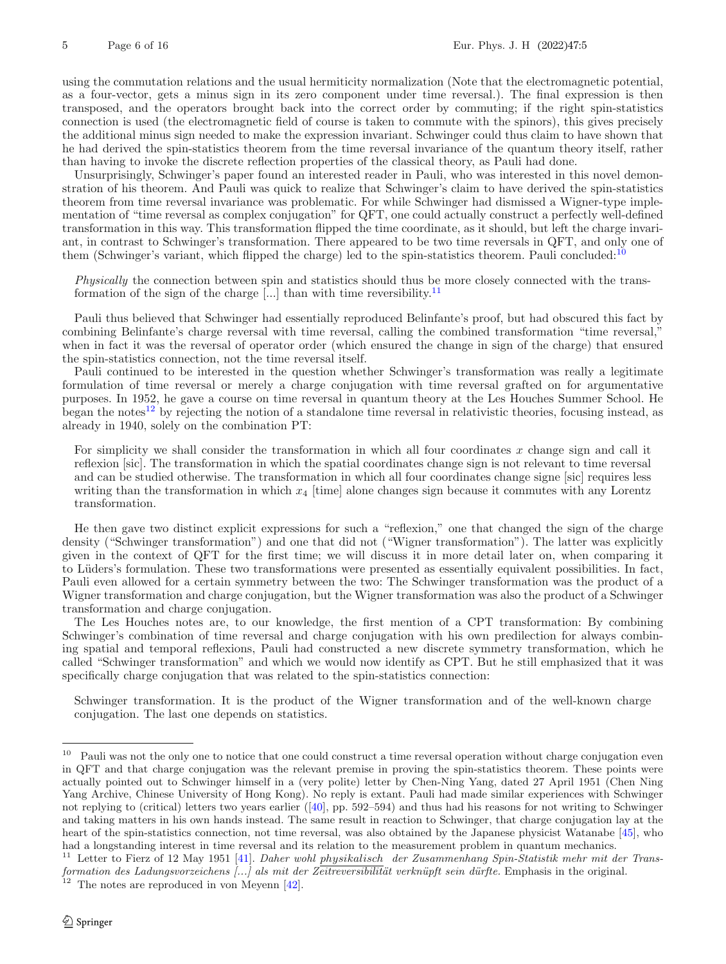using the commutation relations and the usual hermiticity normalization (Note that the electromagnetic potential, as a four-vector, gets a minus sign in its zero component under time reversal.). The final expression is then transposed, and the operators brought back into the correct order by commuting; if the right spin-statistics connection is used (the electromagnetic field of course is taken to commute with the spinors), this gives precisely the additional minus sign needed to make the expression invariant. Schwinger could thus claim to have shown that he had derived the spin-statistics theorem from the time reversal invariance of the quantum theory itself, rather than having to invoke the discrete reflection properties of the classical theory, as Pauli had done.

Unsurprisingly, Schwinger's paper found an interested reader in Pauli, who was interested in this novel demonstration of his theorem. And Pauli was quick to realize that Schwinger's claim to have derived the spin-statistics theorem from time reversal invariance was problematic. For while Schwinger had dismissed a Wigner-type implementation of "time reversal as complex conjugation" for QFT, one could actually construct a perfectly well-defined transformation in this way. This transformation flipped the time coordinate, as it should, but left the charge invariant, in contrast to Schwinger's transformation. There appeared to be two time reversals in QFT, and only one of them (Schwinger's variant, which flipped the charge) led to the spin-statistics theorem. Pauli concluded:<sup>[10](#page-5-0)</sup>

*Physically* the connection between spin and statistics should thus be more closely connected with the transformation of the sign of the charge  $\left[\ldots\right]$  than with time reversibility.<sup>[11](#page-5-1)</sup>

Pauli thus believed that Schwinger had essentially reproduced Belinfante's proof, but had obscured this fact by combining Belinfante's charge reversal with time reversal, calling the combined transformation "time reversal," when in fact it was the reversal of operator order (which ensured the change in sign of the charge) that ensured the spin-statistics connection, not the time reversal itself.

Pauli continued to be interested in the question whether Schwinger's transformation was really a legitimate formulation of time reversal or merely a charge conjugation with time reversal grafted on for argumentative purposes. In 1952, he gave a course on time reversal in quantum theory at the Les Houches Summer School. He began the notes<sup>[12](#page-5-2)</sup> by rejecting the notion of a standalone time reversal in relativistic theories, focusing instead, as already in 1940, solely on the combination PT:

For simplicity we shall consider the transformation in which all four coordinates  $x$  change sign and call it reflexion [sic]. The transformation in which the spatial coordinates change sign is not relevant to time reversal and can be studied otherwise. The transformation in which all four coordinates change signe [sic] requires less writing than the transformation in which  $x_4$  [time] alone changes sign because it commutes with any Lorentz transformation.

He then gave two distinct explicit expressions for such a "reflexion," one that changed the sign of the charge density ("Schwinger transformation") and one that did not ("Wigner transformation"). The latter was explicitly given in the context of QFT for the first time; we will discuss it in more detail later on, when comparing it to Lüders's formulation. These two transformations were presented as essentially equivalent possibilities. In fact, Pauli even allowed for a certain symmetry between the two: The Schwinger transformation was the product of a Wigner transformation and charge conjugation, but the Wigner transformation was also the product of a Schwinger transformation and charge conjugation.

The Les Houches notes are, to our knowledge, the first mention of a CPT transformation: By combining Schwinger's combination of time reversal and charge conjugation with his own predilection for always combining spatial and temporal reflexions, Pauli had constructed a new discrete symmetry transformation, which he called "Schwinger transformation" and which we would now identify as CPT. But he still emphasized that it was specifically charge conjugation that was related to the spin-statistics connection:

Schwinger transformation. It is the product of the Wigner transformation and of the well-known charge conjugation. The last one depends on statistics.

<span id="page-5-0"></span> $10$  Pauli was not the only one to notice that one could construct a time reversal operation without charge conjugation even in QFT and that charge conjugation was the relevant premise in proving the spin-statistics theorem. These points were actually pointed out to Schwinger himself in a (very polite) letter by Chen-Ning Yang, dated 27 April 1951 (Chen Ning Yang Archive, Chinese University of Hong Kong). No reply is extant. Pauli had made similar experiences with Schwinger not replying to (critical) letters two years earlier  $(40)$ , pp. 592–594) and thus had his reasons for not writing to Schwinger and taking matters in his own hands instead. The same result in reaction to Schwinger, that charge conjugation lay at the heart of the spin-statistics connection, not time reversal, was also obtained by the Japanese physicist Watanabe [\[45\]](#page-15-9), who had a longstanding interest in time reversal and its relation to the measurement problem in quantum mechanics.

<span id="page-5-1"></span><sup>11</sup> Letter to Fierz of 12 May 1951 [\[41](#page-15-10)]. *Daher wohl* physikalisch *der Zusammenhang Spin-Statistik mehr mit der Transformation des Ladungsvorzeichens [...] als mit der Zeitreversibilität verknüpft sein dürfte.* Emphasis in the original.<br><sup>12</sup> The notes are reproduced in the original.

<span id="page-5-2"></span>The notes are reproduced in von Meyenn [\[42](#page-15-11)].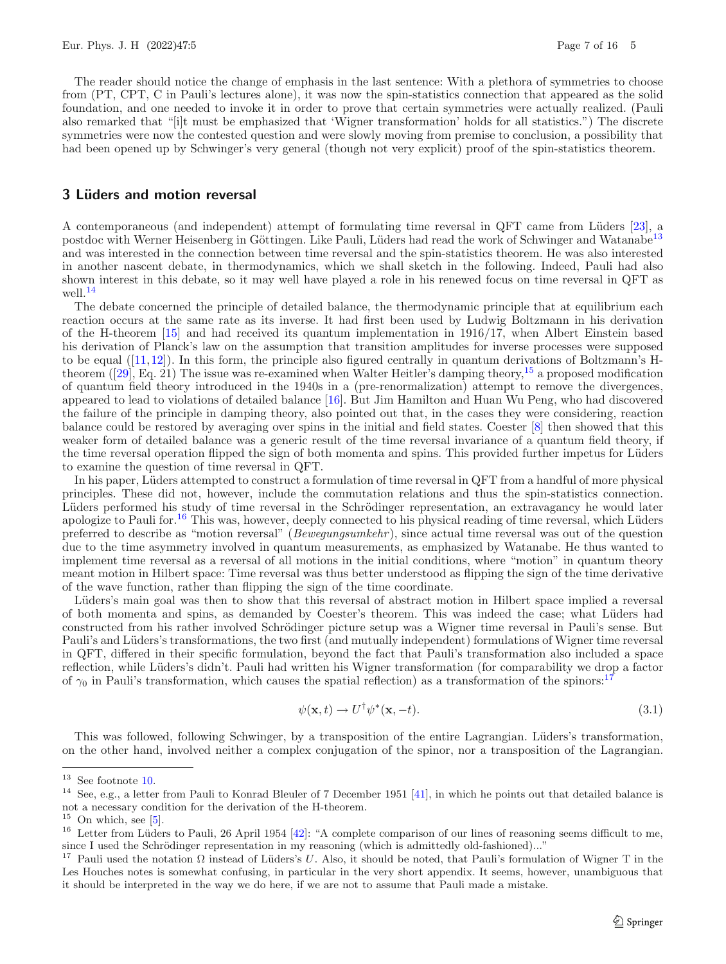The reader should notice the change of emphasis in the last sentence: With a plethora of symmetries to choose from (PT, CPT, C in Pauli's lectures alone), it was now the spin-statistics connection that appeared as the solid foundation, and one needed to invoke it in order to prove that certain symmetries were actually realized. (Pauli also remarked that "[i]t must be emphasized that 'Wigner transformation' holds for all statistics.") The discrete symmetries were now the contested question and were slowly moving from premise to conclusion, a possibility that had been opened up by Schwinger's very general (though not very explicit) proof of the spin-statistics theorem.

### <span id="page-6-0"></span>**3 L¨uders and motion reversal**

A contemporaneous (and independent) attempt of formulating time reversal in QFT came from L¨uders [\[23\]](#page-15-12), a postdoc with Werner Heisenberg in Göttingen. Like Pauli, Lüders had read the work of Schwinger and Watanabe<sup>[13](#page-6-1)</sup> and was interested in the connection between time reversal and the spin-statistics theorem. He was also interested in another nascent debate, in thermodynamics, which we shall sketch in the following. Indeed, Pauli had also shown interest in this debate, so it may well have played a role in his renewed focus on time reversal in QFT as well.[14](#page-6-2)

The debate concerned the principle of detailed balance, the thermodynamic principle that at equilibrium each reaction occurs at the same rate as its inverse. It had first been used by Ludwig Boltzmann in his derivation of the H-theorem [\[15\]](#page-14-8) and had received its quantum implementation in 1916/17, when Albert Einstein based his derivation of Planck's law on the assumption that transition amplitudes for inverse processes were supposed to be equal ([\[11](#page-14-9)[,12](#page-14-10)]). In this form, the principle also figured centrally in quantum derivations of Boltzmann's Htheorem  $(29)$ , Eq. 21) The issue was re-examined when Walter Heitler's damping theory,<sup>[15](#page-6-3)</sup> a proposed modification of quantum field theory introduced in the 1940s in a (pre-renormalization) attempt to remove the divergences, appeared to lead to violations of detailed balance [\[16](#page-14-11)]. But Jim Hamilton and Huan Wu Peng, who had discovered the failure of the principle in damping theory, also pointed out that, in the cases they were considering, reaction balance could be restored by averaging over spins in the initial and field states. Coester [\[8\]](#page-14-12) then showed that this weaker form of detailed balance was a generic result of the time reversal invariance of a quantum field theory, if the time reversal operation flipped the sign of both momenta and spins. This provided further impetus for Lüders to examine the question of time reversal in QFT.

In his paper, Lüders attempted to construct a formulation of time reversal in QFT from a handful of more physical principles. These did not, however, include the commutation relations and thus the spin-statistics connection. Lüders performed his study of time reversal in the Schrödinger representation, an extravagancy he would later apologize to Pauli for.<sup>[16](#page-6-4)</sup> This was, however, deeply connected to his physical reading of time reversal, which Lüders preferred to describe as "motion reversal" (*Bewegungsumkehr* ), since actual time reversal was out of the question due to the time asymmetry involved in quantum measurements, as emphasized by Watanabe. He thus wanted to implement time reversal as a reversal of all motions in the initial conditions, where "motion" in quantum theory meant motion in Hilbert space: Time reversal was thus better understood as flipping the sign of the time derivative of the wave function, rather than flipping the sign of the time coordinate.

Lüders's main goal was then to show that this reversal of abstract motion in Hilbert space implied a reversal of both momenta and spins, as demanded by Coester's theorem. This was indeed the case; what L¨uders had constructed from his rather involved Schrödinger picture setup was a Wigner time reversal in Pauli's sense. But Pauli's and Lüders's transformations, the two first (and mutually independent) formulations of Wigner time reversal in QFT, differed in their specific formulation, beyond the fact that Pauli's transformation also included a space reflection, while Lüders's didn't. Pauli had written his Wigner transformation (for comparability we drop a factor of  $\gamma_0$  in Pauli's transformation, which causes the spatial reflection) as a transformation of the spinors:<sup>1</sup>

$$
\psi(\mathbf{x},t) \to U^{\dagger} \psi^*(\mathbf{x},-t). \tag{3.1}
$$

This was followed, following Schwinger, by a transposition of the entire Lagrangian. Lüders's transformation, on the other hand, involved neither a complex conjugation of the spinor, nor a transposition of the Lagrangian.

<span id="page-6-1"></span> $^{13}\,$  See footnote [10.](#page-5-0)

<span id="page-6-2"></span><sup>&</sup>lt;sup>14</sup> See, e.g., a letter from Pauli to Konrad Bleuler of 7 December 1951 [\[41](#page-15-10)], in which he points out that detailed balance is not a necessary condition for the derivation of the H-theorem.

<span id="page-6-3"></span> $15$  On which, see [\[5\]](#page-14-13).

<span id="page-6-4"></span> $16$  Letter from Lüders to Pauli, 26 April 1954 [\[42\]](#page-15-11): "A complete comparison of our lines of reasoning seems difficult to me, since I used the Schrödinger representation in my reasoning (which is admittedly old-fashioned)..."<br><sup>17</sup> Pauli used the notation O instead of Lüders's *U* Also, it should be noted, that Pauli's formulat

<span id="page-6-5"></span>Pauli used the notation  $\Omega$  instead of Lüders's U. Also, it should be noted, that Pauli's formulation of Wigner T in the Les Houches notes is somewhat confusing, in particular in the very short appendix. It seems, however, unambiguous that it should be interpreted in the way we do here, if we are not to assume that Pauli made a mistake.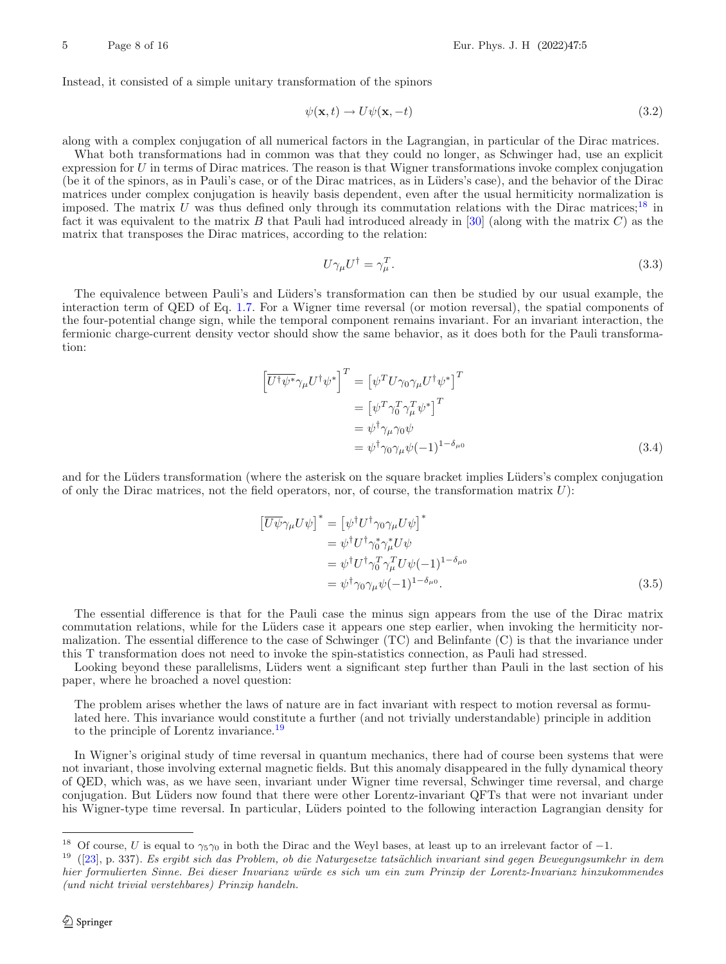Instead, it consisted of a simple unitary transformation of the spinors

<span id="page-7-2"></span>
$$
\psi(\mathbf{x},t) \to U\psi(\mathbf{x},-t) \tag{3.2}
$$

along with a complex conjugation of all numerical factors in the Lagrangian, in particular of the Dirac matrices.

What both transformations had in common was that they could no longer, as Schwinger had, use an explicit expression for  $U$  in terms of Dirac matrices. The reason is that Wigner transformations invoke complex conjugation (be it of the spinors, as in Pauli's case, or of the Dirac matrices, as in Lüders's case), and the behavior of the Dirac matrices under complex conjugation is heavily basis dependent, even after the usual hermiticity normalization is imposed. The matrix U was thus defined only through its commutation relations with the Dirac matrices;<sup>[18](#page-7-0)</sup> in fact it was equivalent to the matrix B that Pauli had introduced already in  $[30]$  $[30]$  (along with the matrix C) as the matrix that transposes the Dirac matrices, according to the relation:

<span id="page-7-3"></span>
$$
U\gamma_{\mu}U^{\dagger} = \gamma_{\mu}^{T}.
$$
\n(3.3)

The equivalence between Pauli's and Lüders's transformation can then be studied by our usual example, the interaction term of QED of Eq. [1.7.](#page-3-4) For a Wigner time reversal (or motion reversal), the spatial components of the four-potential change sign, while the temporal component remains invariant. For an invariant interaction, the fermionic charge-current density vector should show the same behavior, as it does both for the Pauli transformation:

$$
\begin{aligned}\n\left[\overline{U^{\dagger}\psi^{*}}\gamma_{\mu}U^{\dagger}\psi^{*}\right]^{T} &= \left[\psi^{T}U\gamma_{0}\gamma_{\mu}U^{\dagger}\psi^{*}\right]^{T} \\
&= \left[\psi^{T}\gamma_{0}^{T}\gamma_{\mu}^{T}\psi^{*}\right]^{T} \\
&= \psi^{\dagger}\gamma_{\mu}\gamma_{0}\psi \\
&= \psi^{\dagger}\gamma_{0}\gamma_{\mu}\psi(-1)^{1-\delta_{\mu 0}}\n\end{aligned} \tag{3.4}
$$

and for the Lüders transformation (where the asterisk on the square bracket implies Lüders's complex conjugation of only the Dirac matrices, not the field operators, nor, of course, the transformation matrix  $U$ :

$$
\begin{aligned}\n\left[\overline{U\psi}\gamma_{\mu}U\psi\right]^* &= \left[\psi^{\dagger}U^{\dagger}\gamma_{0}\gamma_{\mu}U\psi\right]^* \\
&= \psi^{\dagger}U^{\dagger}\gamma_{0}^*\gamma_{\mu}^*U\psi \\
&= \psi^{\dagger}U^{\dagger}\gamma_{0}^T\gamma_{\mu}^TU\psi(-1)^{1-\delta_{\mu 0}} \\
&= \psi^{\dagger}\gamma_{0}\gamma_{\mu}\psi(-1)^{1-\delta_{\mu 0}}.\n\end{aligned} \tag{3.5}
$$

The essential difference is that for the Pauli case the minus sign appears from the use of the Dirac matrix commutation relations, while for the Lüders case it appears one step earlier, when invoking the hermiticity normalization. The essential difference to the case of Schwinger (TC) and Belinfante (C) is that the invariance under this T transformation does not need to invoke the spin-statistics connection, as Pauli had stressed.

Looking beyond these parallelisms, Lüders went a significant step further than Pauli in the last section of his paper, where he broached a novel question:

The problem arises whether the laws of nature are in fact invariant with respect to motion reversal as formulated here. This invariance would constitute a further (and not trivially understandable) principle in addition to the principle of Lorentz invariance.[19](#page-7-1)

In Wigner's original study of time reversal in quantum mechanics, there had of course been systems that were not invariant, those involving external magnetic fields. But this anomaly disappeared in the fully dynamical theory of QED, which was, as we have seen, invariant under Wigner time reversal, Schwinger time reversal, and charge conjugation. But Lüders now found that there were other Lorentz-invariant QFTs that were not invariant under his Wigner-type time reversal. In particular, Lüders pointed to the following interaction Lagrangian density for

<span id="page-7-1"></span><span id="page-7-0"></span>

<sup>&</sup>lt;sup>18</sup> Of course, *U* is equal to  $\gamma_5\gamma_0$  in both the Dirac and the Weyl bases, at least up to an irrelevant factor of  $-1$ .<br><sup>19</sup> ([\[23\]](#page-15-12), p. 337). *Es ergibt sich das Problem, ob die Naturgesetze tatsächlich invariant sin hier formulierten Sinne. Bei dieser Invarianz w¨urde es sich um ein zum Prinzip der Lorentz-Invarianz hinzukommendes (und nicht trivial verstehbares) Prinzip handeln.*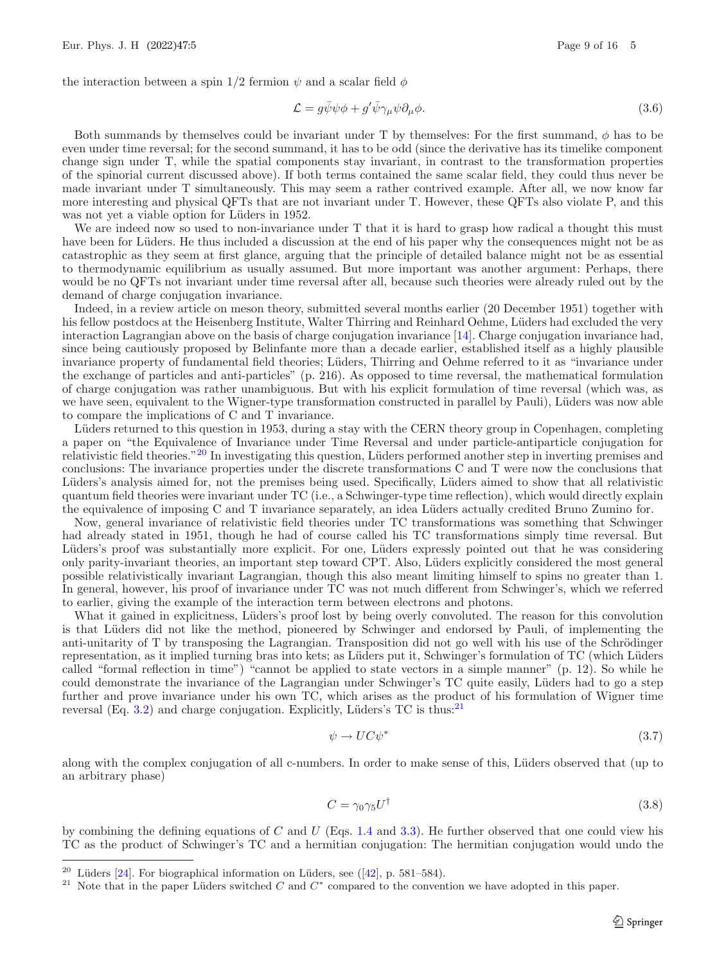the interaction between a spin 1/2 fermion  $\psi$  and a scalar field  $\phi$ 

$$
\mathcal{L} = g\bar{\psi}\psi\phi + g'\bar{\psi}\gamma_{\mu}\psi\partial_{\mu}\phi.
$$
\n(3.6)

Both summands by themselves could be invariant under T by themselves: For the first summand,  $\phi$  has to be even under time reversal; for the second summand, it has to be odd (since the derivative has its timelike component change sign under T, while the spatial components stay invariant, in contrast to the transformation properties of the spinorial current discussed above). If both terms contained the same scalar field, they could thus never be made invariant under T simultaneously. This may seem a rather contrived example. After all, we now know far more interesting and physical QFTs that are not invariant under T. However, these QFTs also violate P, and this was not yet a viable option for Lüders in 1952.

We are indeed now so used to non-invariance under T that it is hard to grasp how radical a thought this must have been for Lüders. He thus included a discussion at the end of his paper why the consequences might not be as catastrophic as they seem at first glance, arguing that the principle of detailed balance might not be as essential to thermodynamic equilibrium as usually assumed. But more important was another argument: Perhaps, there would be no QFTs not invariant under time reversal after all, because such theories were already ruled out by the demand of charge conjugation invariance.

Indeed, in a review article on meson theory, submitted several months earlier (20 December 1951) together with his fellow postdocs at the Heisenberg Institute, Walter Thirring and Reinhard Oehme, Lüders had excluded the very interaction Lagrangian above on the basis of charge conjugation invariance [\[14\]](#page-14-14). Charge conjugation invariance had, since being cautiously proposed by Belinfante more than a decade earlier, established itself as a highly plausible invariance property of fundamental field theories; Lüders, Thirring and Oehme referred to it as "invariance under the exchange of particles and anti-particles" (p. 216). As opposed to time reversal, the mathematical formulation of charge conjugation was rather unambiguous. But with his explicit formulation of time reversal (which was, as we have seen, equivalent to the Wigner-type transformation constructed in parallel by Pauli), Lüders was now able to compare the implications of C and T invariance.

Lüders returned to this question in 1953, during a stay with the CERN theory group in Copenhagen, completing a paper on "the Equivalence of Invariance under Time Reversal and under particle-antiparticle conjugation for relativistic field theories."<sup>[20](#page-8-0)</sup> In investigating this question, Lüders performed another step in inverting premises and conclusions: The invariance properties under the discrete transformations C and T were now the conclusions that Lüders's analysis aimed for, not the premises being used. Specifically, Lüders aimed to show that all relativistic quantum field theories were invariant under TC (i.e., a Schwinger-type time reflection), which would directly explain the equivalence of imposing C and T invariance separately, an idea Lüders actually credited Bruno Zumino for.

Now, general invariance of relativistic field theories under TC transformations was something that Schwinger had already stated in 1951, though he had of course called his TC transformations simply time reversal. But Lüders's proof was substantially more explicit. For one, Lüders expressly pointed out that he was considering only parity-invariant theories, an important step toward CPT. Also, L¨uders explicitly considered the most general possible relativistically invariant Lagrangian, though this also meant limiting himself to spins no greater than 1. In general, however, his proof of invariance under TC was not much different from Schwinger's, which we referred to earlier, giving the example of the interaction term between electrons and photons.

What it gained in explicitness, Lüders's proof lost by being overly convoluted. The reason for this convolution is that Lüders did not like the method, pioneered by Schwinger and endorsed by Pauli, of implementing the anti-unitarity of T by transposing the Lagrangian. Transposition did not go well with his use of the Schrödinger representation, as it implied turning bras into kets; as Lüders put it, Schwinger's formulation of TC (which Lüders called "formal reflection in time") "cannot be applied to state vectors in a simple manner" (p. 12). So while he could demonstrate the invariance of the Lagrangian under Schwinger's TC quite easily, Lüders had to go a step further and prove invariance under his own TC, which arises as the product of his formulation of Wigner time reversal (Eq. [3.2\)](#page-7-2) and charge conjugation. Explicitly, Lüders's TC is thus:<sup>[21](#page-8-1)</sup>

$$
\psi \to U C \psi^* \tag{3.7}
$$

along with the complex conjugation of all c-numbers. In order to make sense of this, L¨uders observed that (up to an arbitrary phase)

$$
C = \gamma_0 \gamma_5 U^{\dagger} \tag{3.8}
$$

by combining the defining equations of C and U (Eqs. [1.4](#page-2-4) and [3.3\)](#page-7-3). He further observed that one could view his TC as the product of Schwinger's TC and a hermitian conjugation: The hermitian conjugation would undo the

<span id="page-8-0"></span><sup>&</sup>lt;sup>20</sup> Lüders [\[24\]](#page-15-14). For biographical information on Lüders, see ([\[42\]](#page-15-11), p. 581–584).

<span id="page-8-1"></span><sup>&</sup>lt;sup>21</sup> Note that in the paper Lüders switched C and  $C^*$  compared to the convention we have adopted in this paper.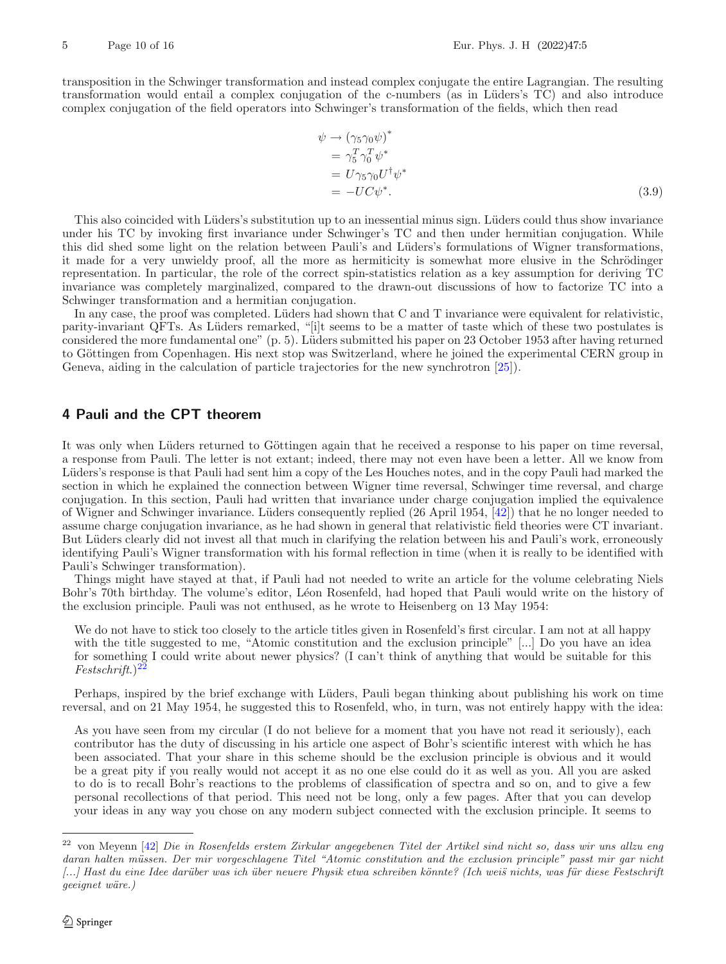transposition in the Schwinger transformation and instead complex conjugate the entire Lagrangian. The resulting transformation would entail a complex conjugation of the c-numbers (as in Lüders's TC) and also introduce complex conjugation of the field operators into Schwinger's transformation of the fields, which then read

$$
\psi \to (\gamma_5 \gamma_0 \psi)^*
$$
  
=  $\gamma_5^T \gamma_0^T \psi^*$   
=  $U \gamma_5 \gamma_0 U^{\dagger} \psi^*$   
=  $-UC\psi^*.$  (3.9)

This also coincided with Lüders's substitution up to an inessential minus sign. Lüders could thus show invariance under his TC by invoking first invariance under Schwinger's TC and then under hermitian conjugation. While this did shed some light on the relation between Pauli's and Lüders's formulations of Wigner transformations, it made for a very unwieldy proof, all the more as hermiticity is somewhat more elusive in the Schrödinger representation. In particular, the role of the correct spin-statistics relation as a key assumption for deriving TC invariance was completely marginalized, compared to the drawn-out discussions of how to factorize TC into a Schwinger transformation and a hermitian conjugation.

In any case, the proof was completed. Lüders had shown that C and T invariance were equivalent for relativistic, parity-invariant QFTs. As Lüders remarked, "[i]t seems to be a matter of taste which of these two postulates is considered the more fundamental one"  $(p. 5)$ . Lüders submitted his paper on 23 October 1953 after having returned to Göttingen from Copenhagen. His next stop was Switzerland, where he joined the experimental CERN group in Geneva, aiding in the calculation of particle trajectories for the new synchrotron [\[25](#page-15-15)]).

# <span id="page-9-0"></span>**4 Pauli and the CPT theorem**

It was only when Lüders returned to Göttingen again that he received a response to his paper on time reversal, a response from Pauli. The letter is not extant; indeed, there may not even have been a letter. All we know from Lüders's response is that Pauli had sent him a copy of the Les Houches notes, and in the copy Pauli had marked the section in which he explained the connection between Wigner time reversal, Schwinger time reversal, and charge conjugation. In this section, Pauli had written that invariance under charge conjugation implied the equivalence of Wigner and Schwinger invariance. Lüders consequently replied (26 April 1954, [\[42\]](#page-15-11)) that he no longer needed to assume charge conjugation invariance, as he had shown in general that relativistic field theories were CT invariant. But Lüders clearly did not invest all that much in clarifying the relation between his and Pauli's work, erroneously identifying Pauli's Wigner transformation with his formal reflection in time (when it is really to be identified with Pauli's Schwinger transformation).

Things might have stayed at that, if Pauli had not needed to write an article for the volume celebrating Niels Bohr's 70th birthday. The volume's editor, Léon Rosenfeld, had hoped that Pauli would write on the history of the exclusion principle. Pauli was not enthused, as he wrote to Heisenberg on 13 May 1954:

We do not have to stick too closely to the article titles given in Rosenfeld's first circular. I am not at all happy with the title suggested to me, "Atomic constitution and the exclusion principle" [...] Do you have an idea for something I could write about newer physics? (I can't think of anything that would be suitable for this *Festschrift*.)[22](#page-9-1)

Perhaps, inspired by the brief exchange with Lüders, Pauli began thinking about publishing his work on time reversal, and on 21 May 1954, he suggested this to Rosenfeld, who, in turn, was not entirely happy with the idea:

As you have seen from my circular (I do not believe for a moment that you have not read it seriously), each contributor has the duty of discussing in his article one aspect of Bohr's scientific interest with which he has been associated. That your share in this scheme should be the exclusion principle is obvious and it would be a great pity if you really would not accept it as no one else could do it as well as you. All you are asked to do is to recall Bohr's reactions to the problems of classification of spectra and so on, and to give a few personal recollections of that period. This need not be long, only a few pages. After that you can develop your ideas in any way you chose on any modern subject connected with the exclusion principle. It seems to

<span id="page-9-1"></span><sup>22</sup> von Meyenn [\[42\]](#page-15-11) *Die in Rosenfelds erstem Zirkular angegebenen Titel der Artikel sind nicht so, dass wir uns allzu eng* daran halten müssen. Der mir vorgeschlagene Titel "Atomic constitution and the exclusion principle" passt mir gar nicht *[...]* Hast du eine Idee darüber was ich über neuere Physik etwa schreiben könnte? (Ich weis nichts, was für diese Festschrift *geeignet w¨are.)*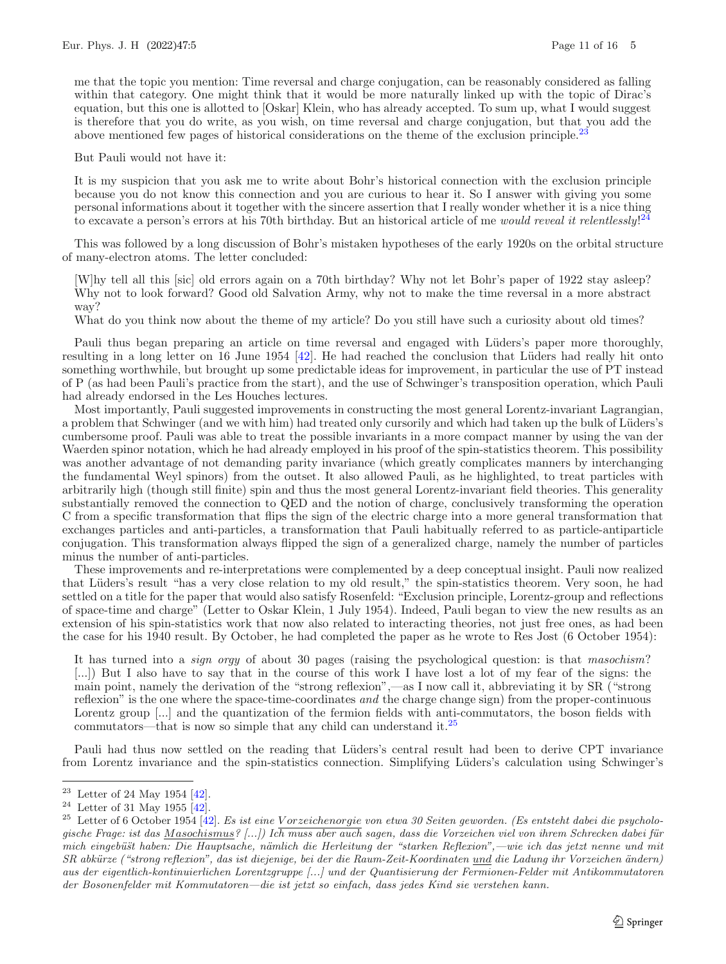me that the topic you mention: Time reversal and charge conjugation, can be reasonably considered as falling within that category. One might think that it would be more naturally linked up with the topic of Dirac's equation, but this one is allotted to [Oskar] Klein, who has already accepted. To sum up, what I would suggest is therefore that you do write, as you wish, on time reversal and charge conjugation, but that you add the above mentioned few pages of historical considerations on the theme of the exclusion principle.<sup>[23](#page-10-0)</sup>

But Pauli would not have it:

It is my suspicion that you ask me to write about Bohr's historical connection with the exclusion principle because you do not know this connection and you are curious to hear it. So I answer with giving you some personal informations about it together with the sincere assertion that I really wonder whether it is a nice thing to excavate a person's errors at his 70th birthday. But an historical article of me *would reveal it relentlessly*! [24](#page-10-1)

This was followed by a long discussion of Bohr's mistaken hypotheses of the early 1920s on the orbital structure of many-electron atoms. The letter concluded:

[W]hy tell all this [sic] old errors again on a 70th birthday? Why not let Bohr's paper of 1922 stay asleep? Why not to look forward? Good old Salvation Army, why not to make the time reversal in a more abstract way?

What do you think now about the theme of my article? Do you still have such a curiosity about old times?

Pauli thus began preparing an article on time reversal and engaged with Lüders's paper more thoroughly, resulting in a long letter on 16 June 1954 [\[42](#page-15-11)]. He had reached the conclusion that Lüders had really hit onto something worthwhile, but brought up some predictable ideas for improvement, in particular the use of PT instead of P (as had been Pauli's practice from the start), and the use of Schwinger's transposition operation, which Pauli had already endorsed in the Les Houches lectures.

Most importantly, Pauli suggested improvements in constructing the most general Lorentz-invariant Lagrangian, a problem that Schwinger (and we with him) had treated only cursorily and which had taken up the bulk of Lüders's cumbersome proof. Pauli was able to treat the possible invariants in a more compact manner by using the van der Waerden spinor notation, which he had already employed in his proof of the spin-statistics theorem. This possibility was another advantage of not demanding parity invariance (which greatly complicates manners by interchanging the fundamental Weyl spinors) from the outset. It also allowed Pauli, as he highlighted, to treat particles with arbitrarily high (though still finite) spin and thus the most general Lorentz-invariant field theories. This generality substantially removed the connection to QED and the notion of charge, conclusively transforming the operation C from a specific transformation that flips the sign of the electric charge into a more general transformation that exchanges particles and anti-particles, a transformation that Pauli habitually referred to as particle-antiparticle conjugation. This transformation always flipped the sign of a generalized charge, namely the number of particles minus the number of anti-particles.

These improvements and re-interpretations were complemented by a deep conceptual insight. Pauli now realized that L¨uders's result "has a very close relation to my old result," the spin-statistics theorem. Very soon, he had settled on a title for the paper that would also satisfy Rosenfeld: "Exclusion principle, Lorentz-group and reflections of space-time and charge" (Letter to Oskar Klein, 1 July 1954). Indeed, Pauli began to view the new results as an extension of his spin-statistics work that now also related to interacting theories, not just free ones, as had been the case for his 1940 result. By October, he had completed the paper as he wrote to Res Jost (6 October 1954):

It has turned into a *sign orgy* of about 30 pages (raising the psychological question: is that *masochism*? [...]) But I also have to say that in the course of this work I have lost a lot of my fear of the signs: the main point, namely the derivation of the "strong reflexion",—as I now call it, abbreviating it by SR ("strong reflexion" is the one where the space-time-coordinates *and* the charge change sign) from the proper-continuous Lorentz group [...] and the quantization of the fermion fields with anti-commutators, the boson fields with commutators—that is now so simple that any child can understand it.[25](#page-10-2)

Pauli had thus now settled on the reading that Lüders's central result had been to derive CPT invariance from Lorentz invariance and the spin-statistics connection. Simplifying Lüders's calculation using Schwinger's

<span id="page-10-0"></span> $23$  Letter of 24 May 1954 [\[42](#page-15-11)].

<span id="page-10-1"></span> $24$  Letter of 31 May 1955 [\[42](#page-15-11)].

<span id="page-10-2"></span><sup>&</sup>lt;sup>25</sup> Letter of 6 October 1954 [\[42\]](#page-15-11). Es ist eine Vorzeichenorgie von etwa 30 Seiten geworden. (Es entsteht dabei die psycholo*gische Frage: ist das* Masochismus*? [...]) Ich muss aber auch sagen, dass die Vorzeichen viel von ihrem Schrecken dabei f¨ur mich eingeb¨u¨st haben: Die Hauptsache, n¨amlich die Herleitung der "starken Reflexion",—wie ich das jetzt nenne und mit SR abk¨urze ("strong reflexion", das ist diejenige, bei der die Raum-Zeit-Koordinaten* und *die Ladung ihr Vorzeichen ¨andern) aus der eigentlich-kontinuierlichen Lorentzgruppe [...] und der Quantisierung der Fermionen-Felder mit Antikommutatoren der Bosonenfelder mit Kommutatoren—die ist jetzt so einfach, dass jedes Kind sie verstehen kann.*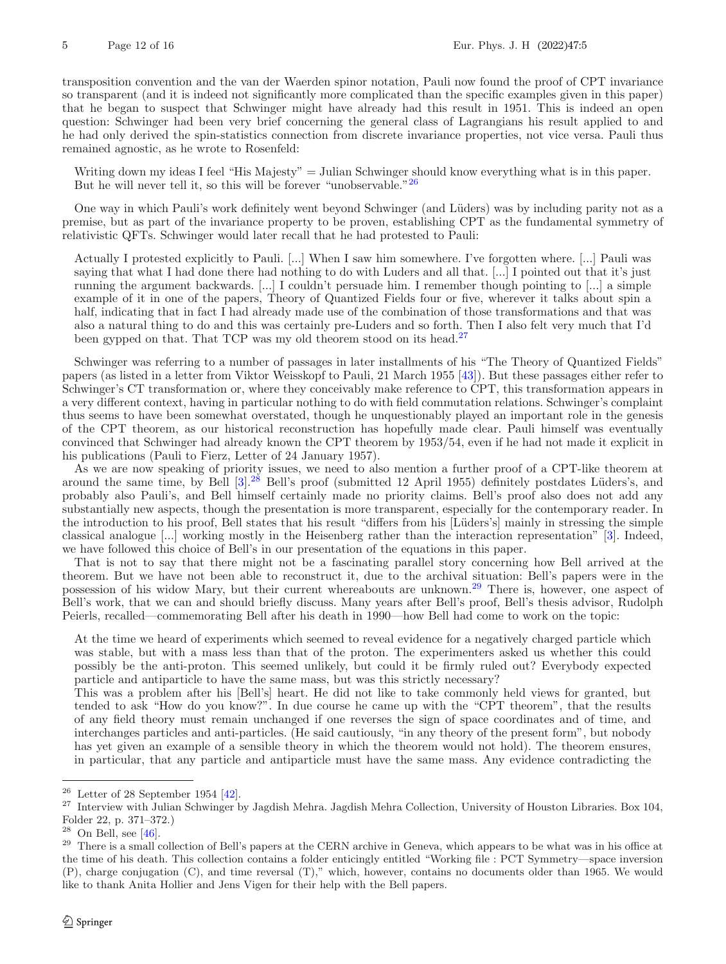transposition convention and the van der Waerden spinor notation, Pauli now found the proof of CPT invariance so transparent (and it is indeed not significantly more complicated than the specific examples given in this paper) that he began to suspect that Schwinger might have already had this result in 1951. This is indeed an open question: Schwinger had been very brief concerning the general class of Lagrangians his result applied to and he had only derived the spin-statistics connection from discrete invariance properties, not vice versa. Pauli thus remained agnostic, as he wrote to Rosenfeld:

Writing down my ideas I feel "His Majesty" = Julian Schwinger should know everything what is in this paper. But he will never tell it, so this will be forever "unobservable."<sup>[26](#page-11-0)</sup>

One way in which Pauli's work definitely went beyond Schwinger (and L¨uders) was by including parity not as a premise, but as part of the invariance property to be proven, establishing CPT as the fundamental symmetry of relativistic QFTs. Schwinger would later recall that he had protested to Pauli:

Actually I protested explicitly to Pauli. [...] When I saw him somewhere. I've forgotten where. [...] Pauli was saying that what I had done there had nothing to do with Luders and all that. [...] I pointed out that it's just running the argument backwards. [...] I couldn't persuade him. I remember though pointing to [...] a simple example of it in one of the papers, Theory of Quantized Fields four or five, wherever it talks about spin a half, indicating that in fact I had already made use of the combination of those transformations and that was also a natural thing to do and this was certainly pre-Luders and so forth. Then I also felt very much that I'd been gypped on that. That TCP was my old theorem stood on its head.<sup>[27](#page-11-1)</sup>

Schwinger was referring to a number of passages in later installments of his "The Theory of Quantized Fields" papers (as listed in a letter from Viktor Weisskopf to Pauli, 21 March 1955 [\[43\]](#page-15-16)). But these passages either refer to Schwinger's CT transformation or, where they conceivably make reference to CPT, this transformation appears in a very different context, having in particular nothing to do with field commutation relations. Schwinger's complaint thus seems to have been somewhat overstated, though he unquestionably played an important role in the genesis of the CPT theorem, as our historical reconstruction has hopefully made clear. Pauli himself was eventually convinced that Schwinger had already known the CPT theorem by 1953/54, even if he had not made it explicit in his publications (Pauli to Fierz, Letter of 24 January 1957).

As we are now speaking of priority issues, we need to also mention a further proof of a CPT-like theorem at around the same time, by Bell [\[3](#page-14-15)].<sup>[28](#page-11-2)</sup> Bell's proof (submitted 12 April 1955) definitely postdates Lüders's, and probably also Pauli's, and Bell himself certainly made no priority claims. Bell's proof also does not add any substantially new aspects, though the presentation is more transparent, especially for the contemporary reader. In the introduction to his proof, Bell states that his result "differs from his [Lüders's] mainly in stressing the simple classical analogue [...] working mostly in the Heisenberg rather than the interaction representation" [\[3](#page-14-15)]. Indeed, we have followed this choice of Bell's in our presentation of the equations in this paper.

That is not to say that there might not be a fascinating parallel story concerning how Bell arrived at the theorem. But we have not been able to reconstruct it, due to the archival situation: Bell's papers were in the possession of his widow Mary, but their current whereabouts are unknown.[29](#page-11-3) There is, however, one aspect of Bell's work, that we can and should briefly discuss. Many years after Bell's proof, Bell's thesis advisor, Rudolph Peierls, recalled—commemorating Bell after his death in 1990—how Bell had come to work on the topic:

At the time we heard of experiments which seemed to reveal evidence for a negatively charged particle which was stable, but with a mass less than that of the proton. The experimenters asked us whether this could possibly be the anti-proton. This seemed unlikely, but could it be firmly ruled out? Everybody expected particle and antiparticle to have the same mass, but was this strictly necessary?

This was a problem after his [Bell's] heart. He did not like to take commonly held views for granted, but tended to ask "How do you know?". In due course he came up with the "CPT theorem", that the results of any field theory must remain unchanged if one reverses the sign of space coordinates and of time, and interchanges particles and anti-particles. (He said cautiously, "in any theory of the present form", but nobody has yet given an example of a sensible theory in which the theorem would not hold). The theorem ensures, in particular, that any particle and antiparticle must have the same mass. Any evidence contradicting the

<span id="page-11-0"></span> $26$  Letter of 28 September 1954 [\[42\]](#page-15-11).

<span id="page-11-1"></span> $^{27}$  Interview with Julian Schwinger by Jagdish Mehra. Jagdish Mehra Collection, University of Houston Libraries. Box 104, Folder 22, p. 371–372.)

<span id="page-11-2"></span> $28$  On Bell, see [\[46\]](#page-15-17).

<span id="page-11-3"></span><sup>&</sup>lt;sup>29</sup> There is a small collection of Bell's papers at the CERN archive in Geneva, which appears to be what was in his office at the time of his death. This collection contains a folder enticingly entitled "Working file : PCT Symmetry—space inversion (P), charge conjugation (C), and time reversal (T)," which, however, contains no documents older than 1965. We would like to thank Anita Hollier and Jens Vigen for their help with the Bell papers.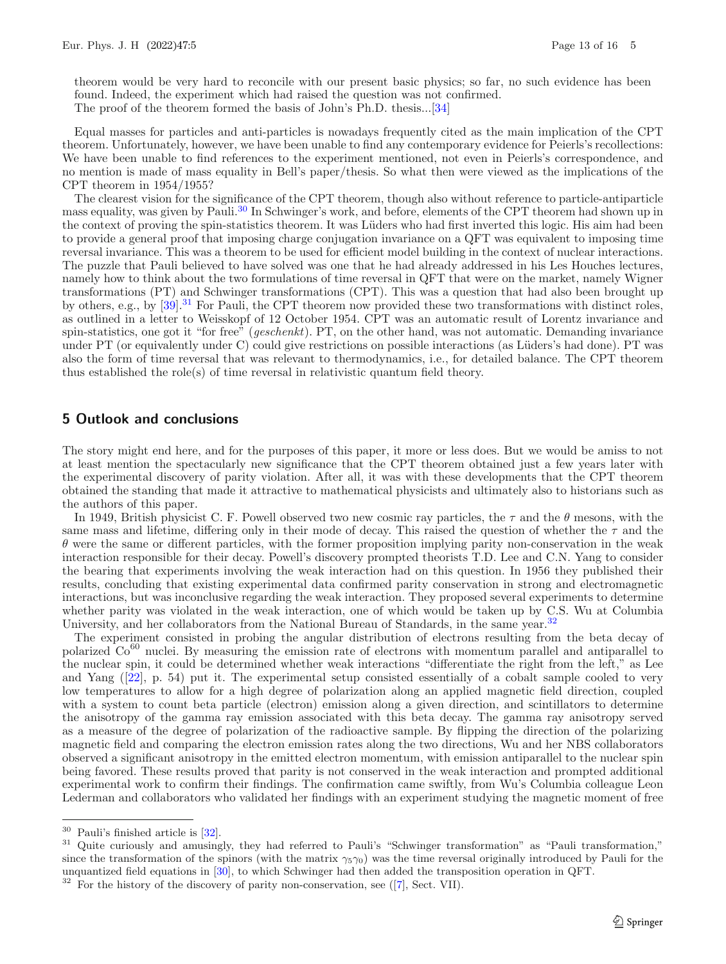theorem would be very hard to reconcile with our present basic physics; so far, no such evidence has been found. Indeed, the experiment which had raised the question was not confirmed. The proof of the theorem formed the basis of John's Ph.D. thesis...[\[34\]](#page-15-18)

Equal masses for particles and anti-particles is nowadays frequently cited as the main implication of the CPT theorem. Unfortunately, however, we have been unable to find any contemporary evidence for Peierls's recollections: We have been unable to find references to the experiment mentioned, not even in Peierls's correspondence, and no mention is made of mass equality in Bell's paper/thesis. So what then were viewed as the implications of the CPT theorem in 1954/1955?

The clearest vision for the significance of the CPT theorem, though also without reference to particle-antiparticle mass equality, was given by Pauli.[30](#page-12-1) In Schwinger's work, and before, elements of the CPT theorem had shown up in the context of proving the spin-statistics theorem. It was Lüders who had first inverted this logic. His aim had been to provide a general proof that imposing charge conjugation invariance on a QFT was equivalent to imposing time reversal invariance. This was a theorem to be used for efficient model building in the context of nuclear interactions. The puzzle that Pauli believed to have solved was one that he had already addressed in his Les Houches lectures, namely how to think about the two formulations of time reversal in QFT that were on the market, namely Wigner transformations (PT) and Schwinger transformations (CPT). This was a question that had also been brought up by others, e.g., by [\[39](#page-15-19)].<sup>[31](#page-12-2)</sup> For Pauli, the CPT theorem now provided these two transformations with distinct roles, as outlined in a letter to Weisskopf of 12 October 1954. CPT was an automatic result of Lorentz invariance and spin-statistics, one got it "for free" (*geschenkt*). PT, on the other hand, was not automatic. Demanding invariance under PT (or equivalently under C) could give restrictions on possible interactions (as Lüders's had done). PT was also the form of time reversal that was relevant to thermodynamics, i.e., for detailed balance. The CPT theorem thus established the role(s) of time reversal in relativistic quantum field theory.

# <span id="page-12-0"></span>**5 Outlook and conclusions**

The story might end here, and for the purposes of this paper, it more or less does. But we would be amiss to not at least mention the spectacularly new significance that the CPT theorem obtained just a few years later with the experimental discovery of parity violation. After all, it was with these developments that the CPT theorem obtained the standing that made it attractive to mathematical physicists and ultimately also to historians such as the authors of this paper.

In 1949, British physicist C. F. Powell observed two new cosmic ray particles, the  $\tau$  and the  $\theta$  mesons, with the same mass and lifetime, differing only in their mode of decay. This raised the question of whether the  $\tau$  and the  $\theta$  were the same or different particles, with the former proposition implying parity non-conservation in the weak interaction responsible for their decay. Powell's discovery prompted theorists T.D. Lee and C.N. Yang to consider the bearing that experiments involving the weak interaction had on this question. In 1956 they published their results, concluding that existing experimental data confirmed parity conservation in strong and electromagnetic interactions, but was inconclusive regarding the weak interaction. They proposed several experiments to determine whether parity was violated in the weak interaction, one of which would be taken up by C.S. Wu at Columbia University, and her collaborators from the National Bureau of Standards, in the same year.<sup>[32](#page-12-3)</sup>

The experiment consisted in probing the angular distribution of electrons resulting from the beta decay of polarized Co<sup>60</sup> nuclei. By measuring the emission rate of electrons with momentum parallel and antiparallel to the nuclear spin, it could be determined whether weak interactions "differentiate the right from the left," as Lee and Yang ([\[22\]](#page-15-20), p. 54) put it. The experimental setup consisted essentially of a cobalt sample cooled to very low temperatures to allow for a high degree of polarization along an applied magnetic field direction, coupled with a system to count beta particle (electron) emission along a given direction, and scintillators to determine the anisotropy of the gamma ray emission associated with this beta decay. The gamma ray anisotropy served as a measure of the degree of polarization of the radioactive sample. By flipping the direction of the polarizing magnetic field and comparing the electron emission rates along the two directions, Wu and her NBS collaborators observed a significant anisotropy in the emitted electron momentum, with emission antiparallel to the nuclear spin being favored. These results proved that parity is not conserved in the weak interaction and prompted additional experimental work to confirm their findings. The confirmation came swiftly, from Wu's Columbia colleague Leon Lederman and collaborators who validated her findings with an experiment studying the magnetic moment of free

<span id="page-12-1"></span> $^{30}$  Pauli's finished article is  $\left[ 32\right] .$ 

<span id="page-12-2"></span><sup>&</sup>lt;sup>31</sup> Quite curiously and amusingly, they had referred to Pauli's "Schwinger transformation" as "Pauli transformation," since the transformation of the spinors (with the matrix  $\gamma_5\gamma_0$ ) was the time reversal originally introduced by Pauli for the unquantized field equations in [\[30](#page-15-4)], to which Schwinger had then added the transposition operation in QFT.

<span id="page-12-3"></span> $32$  For the history of the discovery of parity non-conservation, see ([\[7](#page-14-16)], Sect. VII).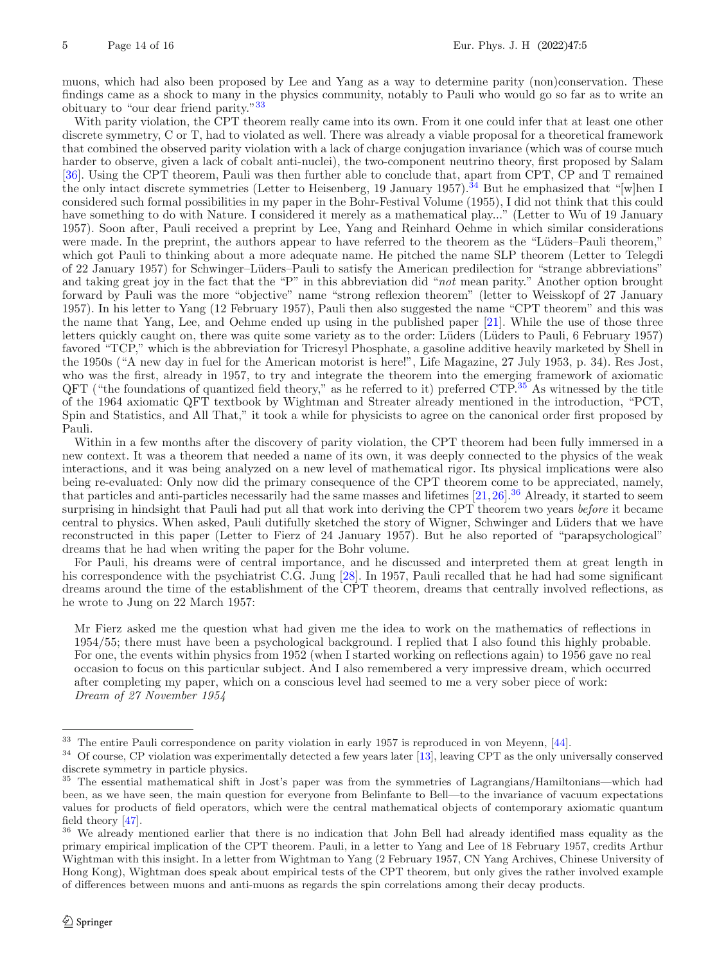muons, which had also been proposed by Lee and Yang as a way to determine parity (non)conservation. These findings came as a shock to many in the physics community, notably to Pauli who would go so far as to write an obituary to "our dear friend parity."[33](#page-13-0)

With parity violation, the CPT theorem really came into its own. From it one could infer that at least one other discrete symmetry, C or T, had to violated as well. There was already a viable proposal for a theoretical framework that combined the observed parity violation with a lack of charge conjugation invariance (which was of course much harder to observe, given a lack of cobalt anti-nuclei), the two-component neutrino theory, first proposed by Salam [\[36\]](#page-15-22). Using the CPT theorem, Pauli was then further able to conclude that, apart from CPT, CP and T remained the only intact discrete symmetries (Letter to Heisenberg, 19 January 1957).<sup>[34](#page-13-1)</sup> But he emphasized that "[w]hen I considered such formal possibilities in my paper in the Bohr-Festival Volume (1955), I did not think that this could have something to do with Nature. I considered it merely as a mathematical play..." (Letter to Wu of 19 January 1957). Soon after, Pauli received a preprint by Lee, Yang and Reinhard Oehme in which similar considerations were made. In the preprint, the authors appear to have referred to the theorem as the "Lüders–Pauli theorem," which got Pauli to thinking about a more adequate name. He pitched the name SLP theorem (Letter to Telegdi of 22 January 1957) for Schwinger–Lüders–Pauli to satisfy the American predilection for "strange abbreviations" and taking great joy in the fact that the "P" in this abbreviation did "*not* mean parity." Another option brought forward by Pauli was the more "objective" name "strong reflexion theorem" (letter to Weisskopf of 27 January 1957). In his letter to Yang (12 February 1957), Pauli then also suggested the name "CPT theorem" and this was the name that Yang, Lee, and Oehme ended up using in the published paper [\[21](#page-15-23)]. While the use of those three letters quickly caught on, there was quite some variety as to the order: Lüders (Lüders to Pauli, 6 February 1957) favored "TCP," which is the abbreviation for Tricresyl Phosphate, a gasoline additive heavily marketed by Shell in the 1950s ("A new day in fuel for the American motorist is here!", Life Magazine, 27 July 1953, p. 34). Res Jost, who was the first, already in 1957, to try and integrate the theorem into the emerging framework of axiomatic  $QFT$  ("the foundations of quantized field theory," as he referred to it) preferred CTP.<sup>[35](#page-13-2)</sup> As witnessed by the title of the 1964 axiomatic QFT textbook by Wightman and Streater already mentioned in the introduction, "PCT, Spin and Statistics, and All That," it took a while for physicists to agree on the canonical order first proposed by Pauli.

Within in a few months after the discovery of parity violation, the CPT theorem had been fully immersed in a new context. It was a theorem that needed a name of its own, it was deeply connected to the physics of the weak interactions, and it was being analyzed on a new level of mathematical rigor. Its physical implications were also being re-evaluated: Only now did the primary consequence of the CPT theorem come to be appreciated, namely, that particles and anti-particles necessarily had the same masses and lifetimes  $[21,26]$  $[21,26]$  $[21,26]$ .<sup>[36](#page-13-3)</sup> Already, it started to seem surprising in hindsight that Pauli had put all that work into deriving the CPT theorem two years *before* it became central to physics. When asked, Pauli dutifully sketched the story of Wigner, Schwinger and Lüders that we have reconstructed in this paper (Letter to Fierz of 24 January 1957). But he also reported of "parapsychological" dreams that he had when writing the paper for the Bohr volume.

For Pauli, his dreams were of central importance, and he discussed and interpreted them at great length in his correspondence with the psychiatrist C.G. Jung [\[28](#page-15-25)]. In 1957, Pauli recalled that he had had some significant dreams around the time of the establishment of the CPT theorem, dreams that centrally involved reflections, as he wrote to Jung on 22 March 1957:

Mr Fierz asked me the question what had given me the idea to work on the mathematics of reflections in 1954/55; there must have been a psychological background. I replied that I also found this highly probable. For one, the events within physics from 1952 (when I started working on reflections again) to 1956 gave no real occasion to focus on this particular subject. And I also remembered a very impressive dream, which occurred after completing my paper, which on a conscious level had seemed to me a very sober piece of work: *Dream of 27 November 1954*

<span id="page-13-0"></span><sup>33</sup> The entire Pauli correspondence on parity violation in early 1957 is reproduced in von Meyenn, [\[44\]](#page-15-26).

<span id="page-13-1"></span> $34$  Of course, CP violation was experimentally detected a few years later [\[13](#page-14-17)], leaving CPT as the only universally conserved discrete symmetry in particle physics.

<span id="page-13-2"></span><sup>35</sup> The essential mathematical shift in Jost's paper was from the symmetries of Lagrangians/Hamiltonians—which had been, as we have seen, the main question for everyone from Belinfante to Bell—to the invariance of vacuum expectations values for products of field operators, which were the central mathematical objects of contemporary axiomatic quantum field theory [\[47\]](#page-15-27).

<span id="page-13-3"></span><sup>&</sup>lt;sup>36</sup> We already mentioned earlier that there is no indication that John Bell had already identified mass equality as the primary empirical implication of the CPT theorem. Pauli, in a letter to Yang and Lee of 18 February 1957, credits Arthur Wightman with this insight. In a letter from Wightman to Yang (2 February 1957, CN Yang Archives, Chinese University of Hong Kong), Wightman does speak about empirical tests of the CPT theorem, but only gives the rather involved example of differences between muons and anti-muons as regards the spin correlations among their decay products.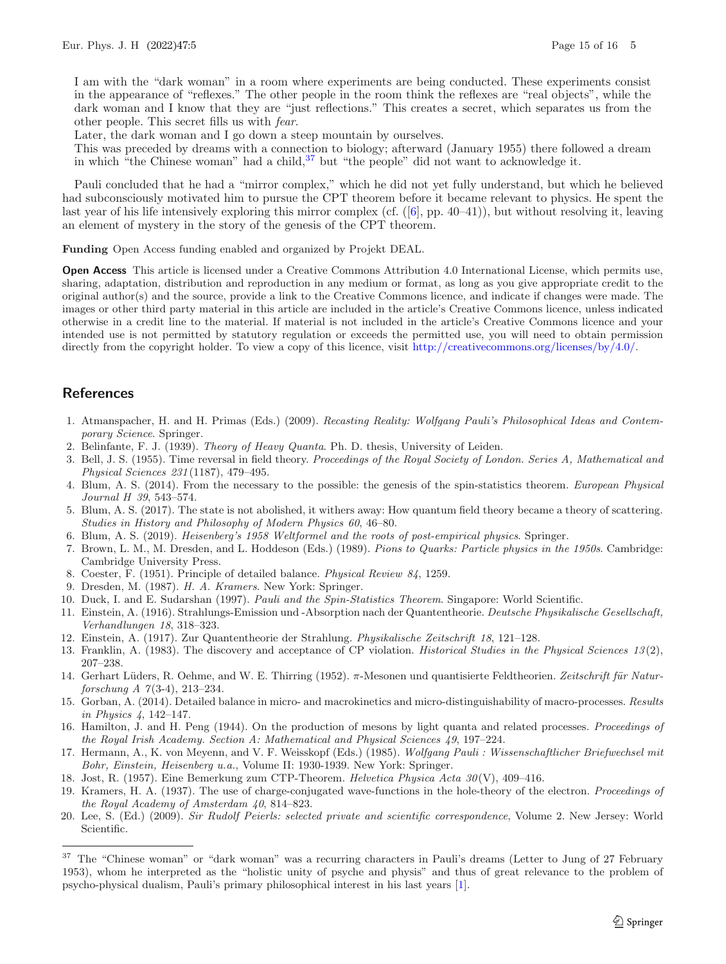I am with the "dark woman" in a room where experiments are being conducted. These experiments consist in the appearance of "reflexes." The other people in the room think the reflexes are "real objects", while the dark woman and I know that they are "just reflections." This creates a secret, which separates us from the other people. This secret fills us with *fear*.

Later, the dark woman and I go down a steep mountain by ourselves.

This was preceded by dreams with a connection to biology; afterward (January 1955) there followed a dream in which "the Chinese woman" had a child, $37$  but "the people" did not want to acknowledge it.

Pauli concluded that he had a "mirror complex," which he did not yet fully understand, but which he believed had subconsciously motivated him to pursue the CPT theorem before it became relevant to physics. He spent the last year of his life intensively exploring this mirror complex (cf. ([\[6\]](#page-14-19), pp. 40–41)), but without resolving it, leaving an element of mystery in the story of the genesis of the CPT theorem.

**Funding** Open Access funding enabled and organized by Projekt DEAL.

**Open Access** This article is licensed under a Creative Commons Attribution 4.0 International License, which permits use, sharing, adaptation, distribution and reproduction in any medium or format, as long as you give appropriate credit to the original author(s) and the source, provide a link to the Creative Commons licence, and indicate if changes were made. The images or other third party material in this article are included in the article's Creative Commons licence, unless indicated otherwise in a credit line to the material. If material is not included in the article's Creative Commons licence and your intended use is not permitted by statutory regulation or exceeds the permitted use, you will need to obtain permission directly from the copyright holder. To view a copy of this licence, visit [http://creativecommons.org/licenses/by/4.0/.](http://creativecommons.org/licenses/by/4.0/)

# **References**

- <span id="page-14-20"></span>1. Atmanspacher, H. and H. Primas (Eds.) (2009). *Recasting Reality: Wolfgang Pauli's Philosophical Ideas and Contemporary Science*. Springer.
- <span id="page-14-3"></span>2. Belinfante, F. J. (1939). *Theory of Heavy Quanta*. Ph. D. thesis, University of Leiden.
- <span id="page-14-15"></span>3. Bell, J. S. (1955). Time reversal in field theory. *Proceedings of the Royal Society of London. Series A, Mathematical and Physical Sciences 231* (1187), 479–495.
- <span id="page-14-1"></span>4. Blum, A. S. (2014). From the necessary to the possible: the genesis of the spin-statistics theorem. *European Physical Journal H 39*, 543–574.
- <span id="page-14-13"></span>5. Blum, A. S. (2017). The state is not abolished, it withers away: How quantum field theory became a theory of scattering. *Studies in History and Philosophy of Modern Physics 60*, 46–80.
- <span id="page-14-19"></span>6. Blum, A. S. (2019). *Heisenberg's 1958 Weltformel and the roots of post-empirical physics*. Springer.
- <span id="page-14-16"></span>7. Brown, L. M., M. Dresden, and L. Hoddeson (Eds.) (1989). *Pions to Quarks: Particle physics in the 1950s*. Cambridge: Cambridge University Press.
- <span id="page-14-12"></span>8. Coester, F. (1951). Principle of detailed balance. *Physical Review 84*, 1259.
- <span id="page-14-6"></span>9. Dresden, M. (1987). *H. A. Kramers*. New York: Springer.
- <span id="page-14-2"></span>10. Duck, I. and E. Sudarshan (1997). *Pauli and the Spin-Statistics Theorem*. Singapore: World Scientific.
- <span id="page-14-9"></span>11. Einstein, A. (1916). Strahlungs-Emission und -Absorption nach der Quantentheorie. *Deutsche Physikalische Gesellschaft, Verhandlungen 18*, 318–323.
- <span id="page-14-10"></span>12. Einstein, A. (1917). Zur Quantentheorie der Strahlung. *Physikalische Zeitschrift 18*, 121–128.
- <span id="page-14-17"></span>13. Franklin, A. (1983). The discovery and acceptance of CP violation. *Historical Studies in the Physical Sciences 13* (2), 207–238.
- <span id="page-14-14"></span>14. Gerhart Lüders, R. Oehme, and W. E. Thirring (1952). π-Mesonen und quantisierte Feldtheorien. *Zeitschrift für Naturforschung A 7* (3-4), 213–234.
- <span id="page-14-8"></span>15. Gorban, A. (2014). Detailed balance in micro- and macrokinetics and micro-distinguishability of macro-processes. *Results in Physics 4*, 142–147.
- <span id="page-14-11"></span>16. Hamilton, J. and H. Peng (1944). On the production of mesons by light quanta and related processes. *Proceedings of the Royal Irish Academy. Section A: Mathematical and Physical Sciences 49*, 197–224.
- <span id="page-14-4"></span>17. Hermann, A., K. von Meyenn, and V. F. Weisskopf (Eds.) (1985). *Wolfgang Pauli : Wissenschaftlicher Briefwechsel mit Bohr, Einstein, Heisenberg u.a.*, Volume II: 1930-1939. New York: Springer.

<span id="page-14-0"></span>18. Jost, R. (1957). Eine Bemerkung zum CTP-Theorem. *Helvetica Physica Acta 30* (V), 409–416.

- <span id="page-14-5"></span>19. Kramers, H. A. (1937). The use of charge-conjugated wave-functions in the hole-theory of the electron. *Proceedings of the Royal Academy of Amsterdam 40*, 814–823.
- <span id="page-14-7"></span>20. Lee, S. (Ed.) (2009). *Sir Rudolf Peierls: selected private and scientific correspondence*, Volume 2. New Jersey: World Scientific.

<span id="page-14-18"></span><sup>&</sup>lt;sup>37</sup> The "Chinese woman" or "dark woman" was a recurring characters in Pauli's dreams (Letter to Jung of 27 February 1953), whom he interpreted as the "holistic unity of psyche and physis" and thus of great relevance to the problem of psycho-physical dualism, Pauli's primary philosophical interest in his last years [\[1\]](#page-14-20).